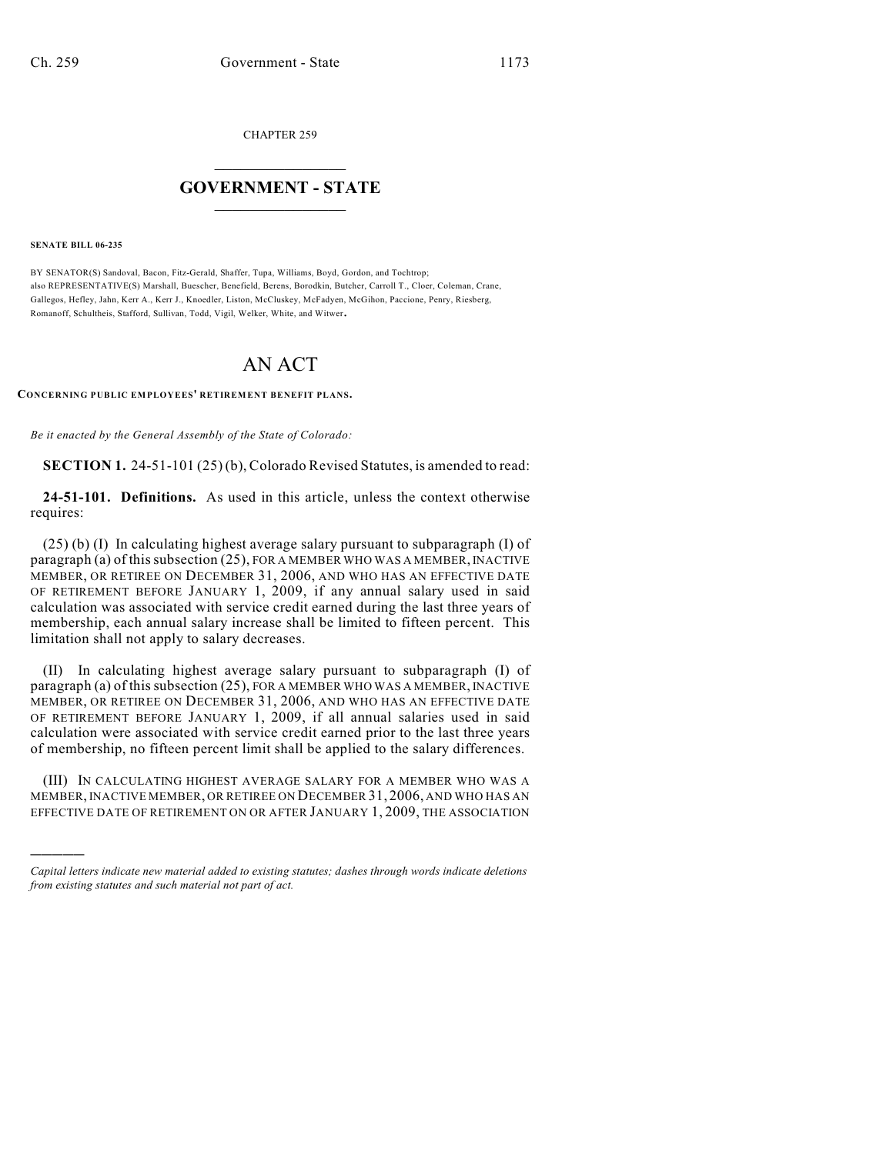CHAPTER 259

# $\mathcal{L}_\text{max}$  . The set of the set of the set of the set of the set of the set of the set of the set of the set of the set of the set of the set of the set of the set of the set of the set of the set of the set of the set **GOVERNMENT - STATE**  $\_$   $\_$   $\_$   $\_$   $\_$   $\_$   $\_$   $\_$   $\_$

**SENATE BILL 06-235**

)))))

BY SENATOR(S) Sandoval, Bacon, Fitz-Gerald, Shaffer, Tupa, Williams, Boyd, Gordon, and Tochtrop; also REPRESENTATIVE(S) Marshall, Buescher, Benefield, Berens, Borodkin, Butcher, Carroll T., Cloer, Coleman, Crane, Gallegos, Hefley, Jahn, Kerr A., Kerr J., Knoedler, Liston, McCluskey, McFadyen, McGihon, Paccione, Penry, Riesberg, Romanoff, Schultheis, Stafford, Sullivan, Todd, Vigil, Welker, White, and Witwer.

# AN ACT

#### **CONCERNING PUBLIC EMPLOYEES' RETIREMENT BENEFIT PLANS.**

*Be it enacted by the General Assembly of the State of Colorado:*

**SECTION 1.** 24-51-101 (25) (b), Colorado Revised Statutes, is amended to read:

**24-51-101. Definitions.** As used in this article, unless the context otherwise requires:

(25) (b) (I) In calculating highest average salary pursuant to subparagraph (I) of paragraph (a) of this subsection (25), FOR A MEMBER WHO WAS A MEMBER, INACTIVE MEMBER, OR RETIREE ON DECEMBER 31, 2006, AND WHO HAS AN EFFECTIVE DATE OF RETIREMENT BEFORE JANUARY 1, 2009, if any annual salary used in said calculation was associated with service credit earned during the last three years of membership, each annual salary increase shall be limited to fifteen percent. This limitation shall not apply to salary decreases.

(II) In calculating highest average salary pursuant to subparagraph (I) of paragraph (a) of this subsection (25), FOR A MEMBER WHO WAS A MEMBER, INACTIVE MEMBER, OR RETIREE ON DECEMBER 31, 2006, AND WHO HAS AN EFFECTIVE DATE OF RETIREMENT BEFORE JANUARY 1, 2009, if all annual salaries used in said calculation were associated with service credit earned prior to the last three years of membership, no fifteen percent limit shall be applied to the salary differences.

(III) IN CALCULATING HIGHEST AVERAGE SALARY FOR A MEMBER WHO WAS A MEMBER, INACTIVE MEMBER, OR RETIREE ON DECEMBER 31, 2006, AND WHO HAS AN EFFECTIVE DATE OF RETIREMENT ON OR AFTER JANUARY 1, 2009, THE ASSOCIATION

*Capital letters indicate new material added to existing statutes; dashes through words indicate deletions from existing statutes and such material not part of act.*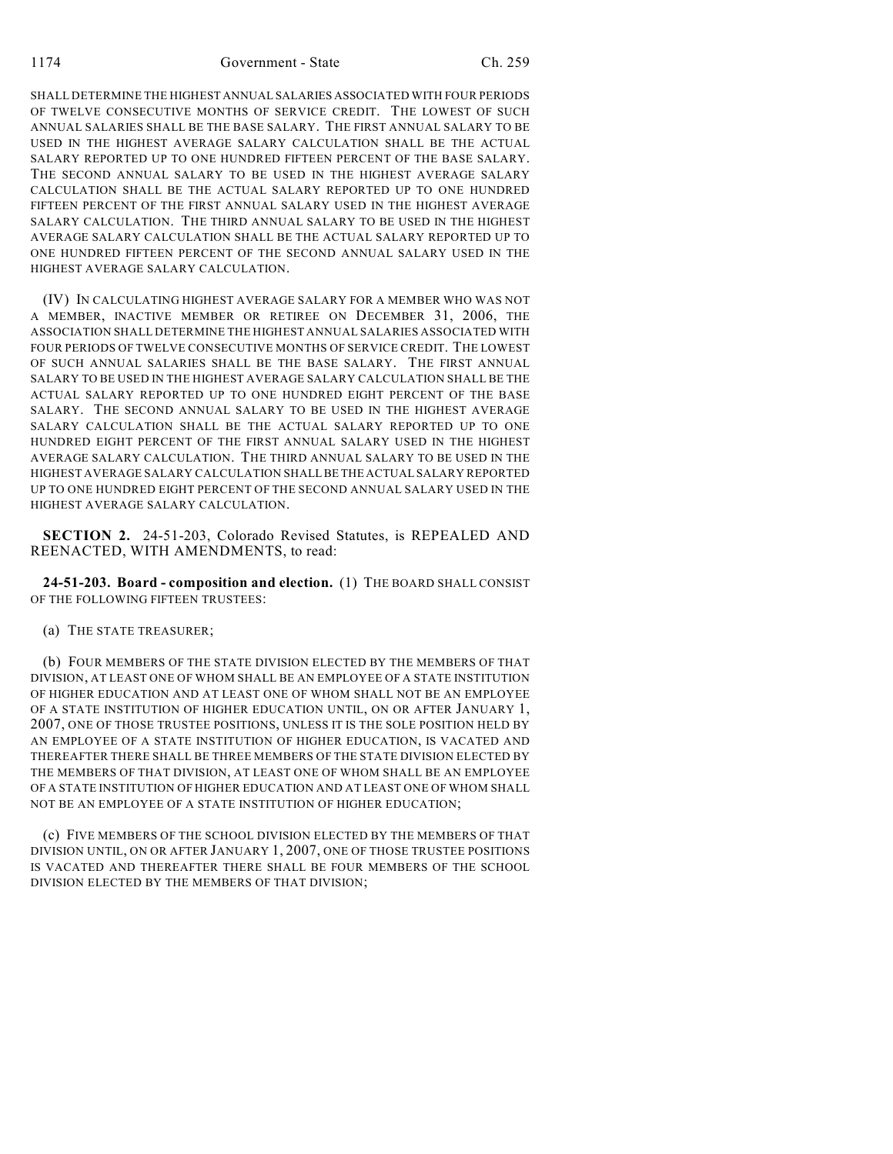SHALL DETERMINE THE HIGHEST ANNUAL SALARIES ASSOCIATED WITH FOUR PERIODS OF TWELVE CONSECUTIVE MONTHS OF SERVICE CREDIT. THE LOWEST OF SUCH ANNUAL SALARIES SHALL BE THE BASE SALARY. THE FIRST ANNUAL SALARY TO BE USED IN THE HIGHEST AVERAGE SALARY CALCULATION SHALL BE THE ACTUAL SALARY REPORTED UP TO ONE HUNDRED FIFTEEN PERCENT OF THE BASE SALARY. THE SECOND ANNUAL SALARY TO BE USED IN THE HIGHEST AVERAGE SALARY CALCULATION SHALL BE THE ACTUAL SALARY REPORTED UP TO ONE HUNDRED FIFTEEN PERCENT OF THE FIRST ANNUAL SALARY USED IN THE HIGHEST AVERAGE SALARY CALCULATION. THE THIRD ANNUAL SALARY TO BE USED IN THE HIGHEST AVERAGE SALARY CALCULATION SHALL BE THE ACTUAL SALARY REPORTED UP TO ONE HUNDRED FIFTEEN PERCENT OF THE SECOND ANNUAL SALARY USED IN THE HIGHEST AVERAGE SALARY CALCULATION.

(IV) IN CALCULATING HIGHEST AVERAGE SALARY FOR A MEMBER WHO WAS NOT A MEMBER, INACTIVE MEMBER OR RETIREE ON DECEMBER 31, 2006, THE ASSOCIATION SHALL DETERMINE THE HIGHEST ANNUAL SALARIES ASSOCIATED WITH FOUR PERIODS OF TWELVE CONSECUTIVE MONTHS OF SERVICE CREDIT. THE LOWEST OF SUCH ANNUAL SALARIES SHALL BE THE BASE SALARY. THE FIRST ANNUAL SALARY TO BE USED IN THE HIGHEST AVERAGE SALARY CALCULATION SHALL BE THE ACTUAL SALARY REPORTED UP TO ONE HUNDRED EIGHT PERCENT OF THE BASE SALARY. THE SECOND ANNUAL SALARY TO BE USED IN THE HIGHEST AVERAGE SALARY CALCULATION SHALL BE THE ACTUAL SALARY REPORTED UP TO ONE HUNDRED EIGHT PERCENT OF THE FIRST ANNUAL SALARY USED IN THE HIGHEST AVERAGE SALARY CALCULATION. THE THIRD ANNUAL SALARY TO BE USED IN THE HIGHEST AVERAGE SALARY CALCULATION SHALL BE THE ACTUAL SALARY REPORTED UP TO ONE HUNDRED EIGHT PERCENT OF THE SECOND ANNUAL SALARY USED IN THE HIGHEST AVERAGE SALARY CALCULATION.

**SECTION 2.** 24-51-203, Colorado Revised Statutes, is REPEALED AND REENACTED, WITH AMENDMENTS, to read:

**24-51-203. Board - composition and election.** (1) THE BOARD SHALL CONSIST OF THE FOLLOWING FIFTEEN TRUSTEES:

(a) THE STATE TREASURER;

(b) FOUR MEMBERS OF THE STATE DIVISION ELECTED BY THE MEMBERS OF THAT DIVISION, AT LEAST ONE OF WHOM SHALL BE AN EMPLOYEE OF A STATE INSTITUTION OF HIGHER EDUCATION AND AT LEAST ONE OF WHOM SHALL NOT BE AN EMPLOYEE OF A STATE INSTITUTION OF HIGHER EDUCATION UNTIL, ON OR AFTER JANUARY 1, 2007, ONE OF THOSE TRUSTEE POSITIONS, UNLESS IT IS THE SOLE POSITION HELD BY AN EMPLOYEE OF A STATE INSTITUTION OF HIGHER EDUCATION, IS VACATED AND THEREAFTER THERE SHALL BE THREE MEMBERS OF THE STATE DIVISION ELECTED BY THE MEMBERS OF THAT DIVISION, AT LEAST ONE OF WHOM SHALL BE AN EMPLOYEE OF A STATE INSTITUTION OF HIGHER EDUCATION AND AT LEAST ONE OF WHOM SHALL NOT BE AN EMPLOYEE OF A STATE INSTITUTION OF HIGHER EDUCATION;

(c) FIVE MEMBERS OF THE SCHOOL DIVISION ELECTED BY THE MEMBERS OF THAT DIVISION UNTIL, ON OR AFTER JANUARY 1, 2007, ONE OF THOSE TRUSTEE POSITIONS IS VACATED AND THEREAFTER THERE SHALL BE FOUR MEMBERS OF THE SCHOOL DIVISION ELECTED BY THE MEMBERS OF THAT DIVISION;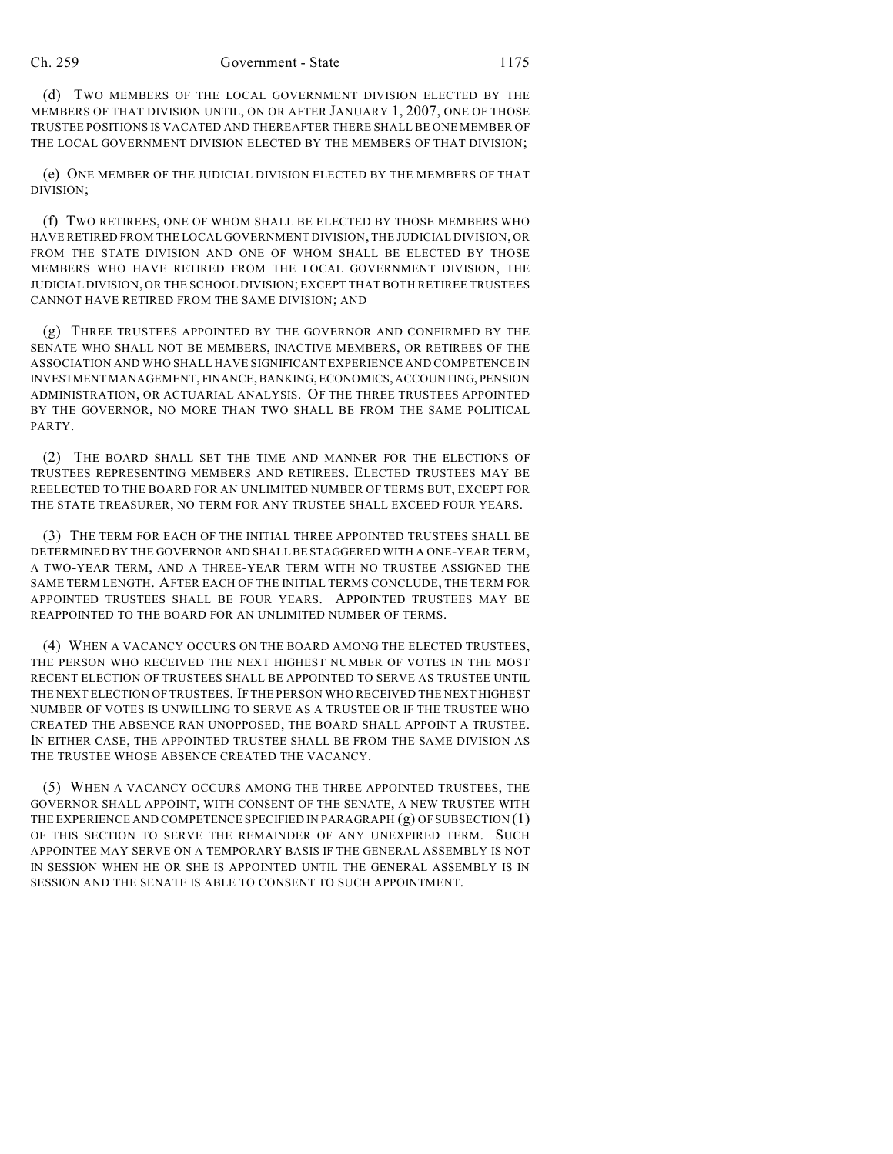(d) TWO MEMBERS OF THE LOCAL GOVERNMENT DIVISION ELECTED BY THE MEMBERS OF THAT DIVISION UNTIL, ON OR AFTER JANUARY 1, 2007, ONE OF THOSE TRUSTEE POSITIONS IS VACATED AND THEREAFTER THERE SHALL BE ONE MEMBER OF THE LOCAL GOVERNMENT DIVISION ELECTED BY THE MEMBERS OF THAT DIVISION;

(e) ONE MEMBER OF THE JUDICIAL DIVISION ELECTED BY THE MEMBERS OF THAT DIVISION;

(f) TWO RETIREES, ONE OF WHOM SHALL BE ELECTED BY THOSE MEMBERS WHO HAVE RETIRED FROM THE LOCAL GOVERNMENT DIVISION, THE JUDICIAL DIVISION, OR FROM THE STATE DIVISION AND ONE OF WHOM SHALL BE ELECTED BY THOSE MEMBERS WHO HAVE RETIRED FROM THE LOCAL GOVERNMENT DIVISION, THE JUDICIAL DIVISION, OR THE SCHOOL DIVISION; EXCEPT THAT BOTH RETIREE TRUSTEES CANNOT HAVE RETIRED FROM THE SAME DIVISION; AND

(g) THREE TRUSTEES APPOINTED BY THE GOVERNOR AND CONFIRMED BY THE SENATE WHO SHALL NOT BE MEMBERS, INACTIVE MEMBERS, OR RETIREES OF THE ASSOCIATION AND WHO SHALL HAVE SIGNIFICANT EXPERIENCE AND COMPETENCE IN INVESTMENT MANAGEMENT, FINANCE, BANKING, ECONOMICS, ACCOUNTING, PENSION ADMINISTRATION, OR ACTUARIAL ANALYSIS. OF THE THREE TRUSTEES APPOINTED BY THE GOVERNOR, NO MORE THAN TWO SHALL BE FROM THE SAME POLITICAL PARTY.

(2) THE BOARD SHALL SET THE TIME AND MANNER FOR THE ELECTIONS OF TRUSTEES REPRESENTING MEMBERS AND RETIREES. ELECTED TRUSTEES MAY BE REELECTED TO THE BOARD FOR AN UNLIMITED NUMBER OF TERMS BUT, EXCEPT FOR THE STATE TREASURER, NO TERM FOR ANY TRUSTEE SHALL EXCEED FOUR YEARS.

(3) THE TERM FOR EACH OF THE INITIAL THREE APPOINTED TRUSTEES SHALL BE DETERMINED BY THE GOVERNOR AND SHALL BE STAGGERED WITH A ONE-YEAR TERM, A TWO-YEAR TERM, AND A THREE-YEAR TERM WITH NO TRUSTEE ASSIGNED THE SAME TERM LENGTH. AFTER EACH OF THE INITIAL TERMS CONCLUDE, THE TERM FOR APPOINTED TRUSTEES SHALL BE FOUR YEARS. APPOINTED TRUSTEES MAY BE REAPPOINTED TO THE BOARD FOR AN UNLIMITED NUMBER OF TERMS.

(4) WHEN A VACANCY OCCURS ON THE BOARD AMONG THE ELECTED TRUSTEES, THE PERSON WHO RECEIVED THE NEXT HIGHEST NUMBER OF VOTES IN THE MOST RECENT ELECTION OF TRUSTEES SHALL BE APPOINTED TO SERVE AS TRUSTEE UNTIL THE NEXT ELECTION OF TRUSTEES. IF THE PERSON WHO RECEIVED THE NEXT HIGHEST NUMBER OF VOTES IS UNWILLING TO SERVE AS A TRUSTEE OR IF THE TRUSTEE WHO CREATED THE ABSENCE RAN UNOPPOSED, THE BOARD SHALL APPOINT A TRUSTEE. IN EITHER CASE, THE APPOINTED TRUSTEE SHALL BE FROM THE SAME DIVISION AS THE TRUSTEE WHOSE ABSENCE CREATED THE VACANCY.

(5) WHEN A VACANCY OCCURS AMONG THE THREE APPOINTED TRUSTEES, THE GOVERNOR SHALL APPOINT, WITH CONSENT OF THE SENATE, A NEW TRUSTEE WITH THE EXPERIENCE AND COMPETENCE SPECIFIED IN PARAGRAPH (g) OF SUBSECTION (1) OF THIS SECTION TO SERVE THE REMAINDER OF ANY UNEXPIRED TERM. SUCH APPOINTEE MAY SERVE ON A TEMPORARY BASIS IF THE GENERAL ASSEMBLY IS NOT IN SESSION WHEN HE OR SHE IS APPOINTED UNTIL THE GENERAL ASSEMBLY IS IN SESSION AND THE SENATE IS ABLE TO CONSENT TO SUCH APPOINTMENT.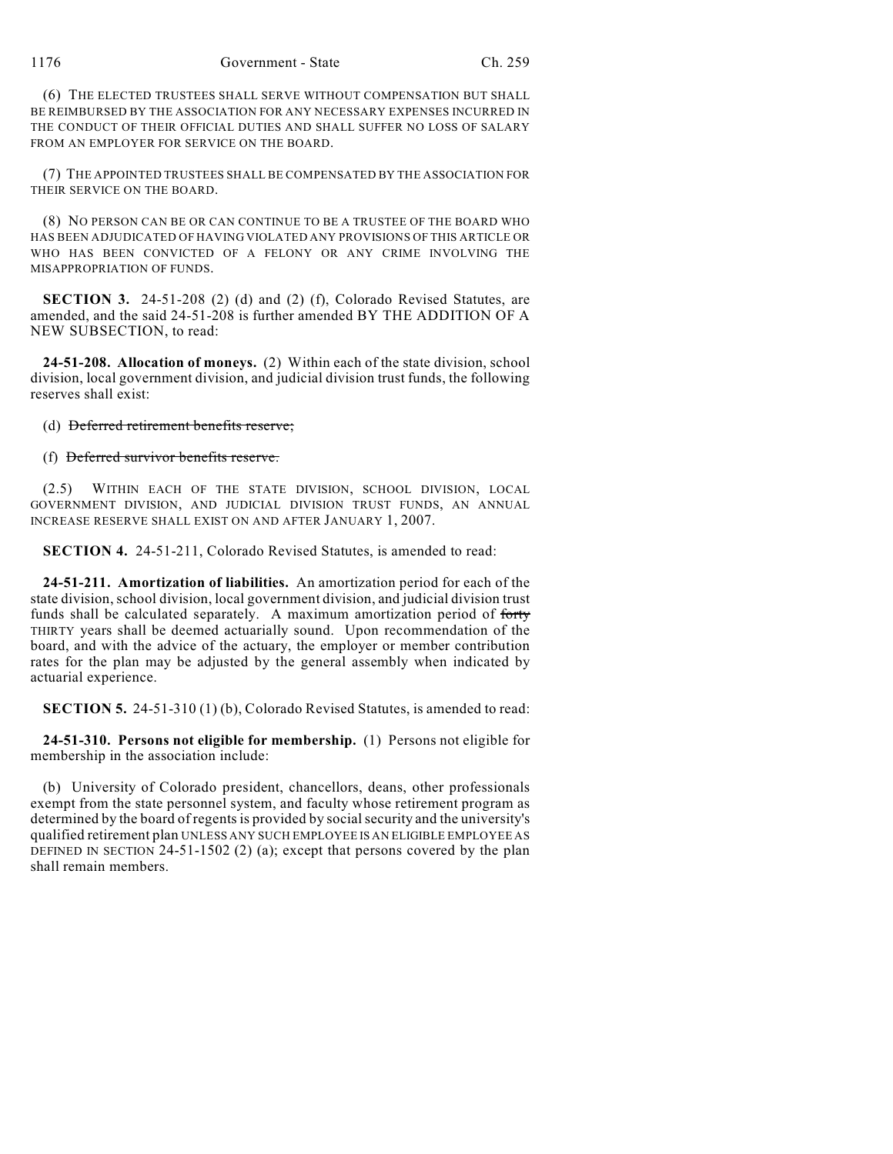(6) THE ELECTED TRUSTEES SHALL SERVE WITHOUT COMPENSATION BUT SHALL BE REIMBURSED BY THE ASSOCIATION FOR ANY NECESSARY EXPENSES INCURRED IN THE CONDUCT OF THEIR OFFICIAL DUTIES AND SHALL SUFFER NO LOSS OF SALARY FROM AN EMPLOYER FOR SERVICE ON THE BOARD.

(7) THE APPOINTED TRUSTEES SHALL BE COMPENSATED BY THE ASSOCIATION FOR THEIR SERVICE ON THE BOARD.

(8) NO PERSON CAN BE OR CAN CONTINUE TO BE A TRUSTEE OF THE BOARD WHO HAS BEEN ADJUDICATED OF HAVING VIOLATED ANY PROVISIONS OF THIS ARTICLE OR WHO HAS BEEN CONVICTED OF A FELONY OR ANY CRIME INVOLVING THE MISAPPROPRIATION OF FUNDS.

**SECTION 3.** 24-51-208 (2) (d) and (2) (f), Colorado Revised Statutes, are amended, and the said 24-51-208 is further amended BY THE ADDITION OF A NEW SUBSECTION, to read:

**24-51-208. Allocation of moneys.** (2) Within each of the state division, school division, local government division, and judicial division trust funds, the following reserves shall exist:

(d) Deferred retirement benefits reserve;

(f) Deferred survivor benefits reserve.

(2.5) WITHIN EACH OF THE STATE DIVISION, SCHOOL DIVISION, LOCAL GOVERNMENT DIVISION, AND JUDICIAL DIVISION TRUST FUNDS, AN ANNUAL INCREASE RESERVE SHALL EXIST ON AND AFTER JANUARY 1, 2007.

**SECTION 4.** 24-51-211, Colorado Revised Statutes, is amended to read:

**24-51-211. Amortization of liabilities.** An amortization period for each of the state division, school division, local government division, and judicial division trust funds shall be calculated separately. A maximum amortization period of forty THIRTY years shall be deemed actuarially sound. Upon recommendation of the board, and with the advice of the actuary, the employer or member contribution rates for the plan may be adjusted by the general assembly when indicated by actuarial experience.

**SECTION 5.** 24-51-310 (1) (b), Colorado Revised Statutes, is amended to read:

**24-51-310. Persons not eligible for membership.** (1) Persons not eligible for membership in the association include:

(b) University of Colorado president, chancellors, deans, other professionals exempt from the state personnel system, and faculty whose retirement program as determined by the board of regents is provided by social security and the university's qualified retirement plan UNLESS ANY SUCH EMPLOYEE IS AN ELIGIBLE EMPLOYEE AS DEFINED IN SECTION 24-51-1502 (2) (a); except that persons covered by the plan shall remain members.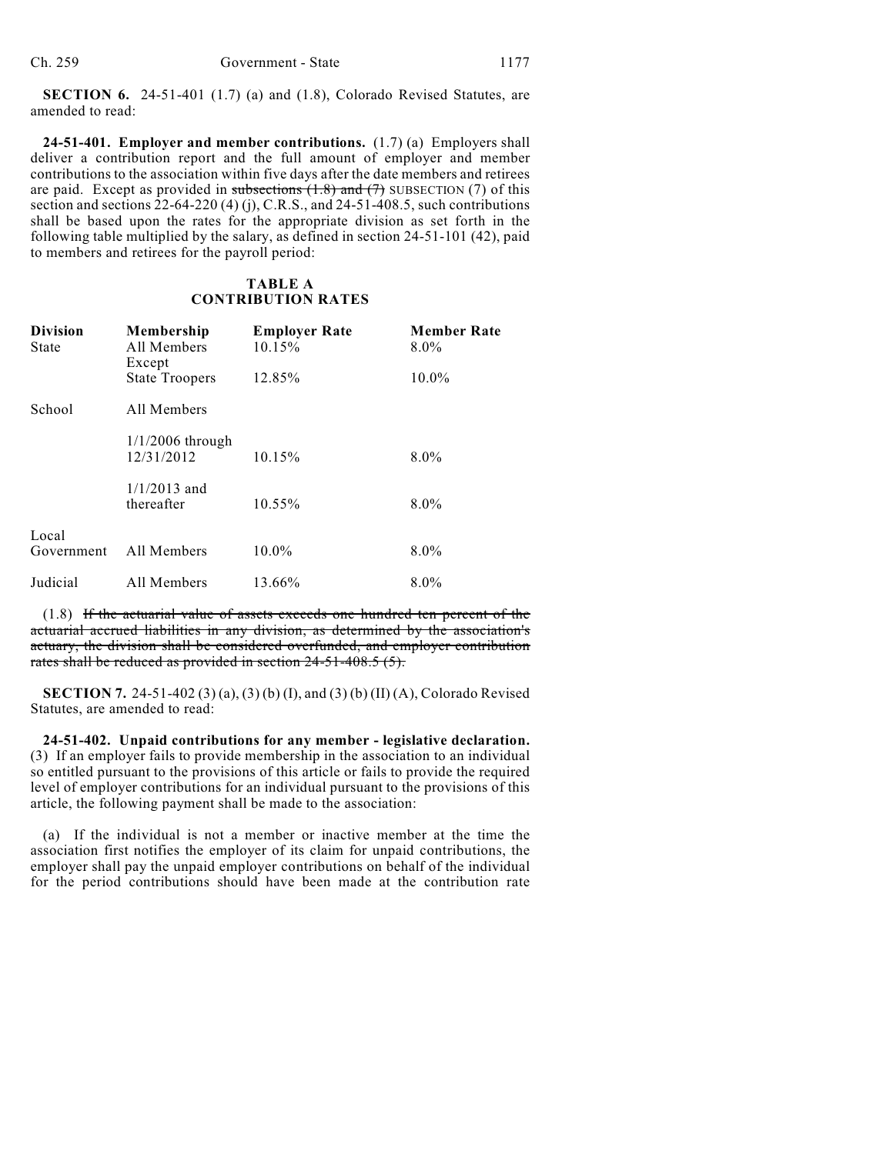**SECTION 6.** 24-51-401 (1.7) (a) and (1.8), Colorado Revised Statutes, are amended to read:

**24-51-401. Employer and member contributions.** (1.7) (a) Employers shall deliver a contribution report and the full amount of employer and member contributions to the association within five days after the date members and retirees are paid. Except as provided in subsections  $(1.8)$  and  $(7)$  SUBSECTION (7) of this section and sections  $22-64-220$  (4) (j), C.R.S., and  $24-51-408.5$ , such contributions shall be based upon the rates for the appropriate division as set forth in the following table multiplied by the salary, as defined in section 24-51-101 (42), paid to members and retirees for the payroll period:

## **TABLE A CONTRIBUTION RATES**

| <b>Division</b><br>State | Membership<br>All Members<br>Except | <b>Employer Rate</b><br>10.15% | <b>Member Rate</b><br>$8.0\%$ |
|--------------------------|-------------------------------------|--------------------------------|-------------------------------|
|                          | <b>State Troopers</b>               | 12.85%                         | $10.0\%$                      |
| School                   | All Members                         |                                |                               |
|                          | $1/1/2006$ through<br>12/31/2012    | 10.15%                         | $8.0\%$                       |
|                          | $1/1/2013$ and<br>thereafter        | 10.55%                         | $8.0\%$                       |
| Local<br>Government      | All Members                         | 10.0%                          | $8.0\%$                       |
| Judicial                 | All Members                         | 13.66%                         | $8.0\%$                       |

(1.8) If the actuarial value of assets exceeds one hundred ten percent of the actuarial accrued liabilities in any division, as determined by the association's actuary, the division shall be considered overfunded, and employer contribution rates shall be reduced as provided in section 24-51-408.5 (5).

**SECTION 7.** 24-51-402 (3) (a), (3) (b) (I), and (3) (b) (II) (A), Colorado Revised Statutes, are amended to read:

**24-51-402. Unpaid contributions for any member - legislative declaration.** (3) If an employer fails to provide membership in the association to an individual so entitled pursuant to the provisions of this article or fails to provide the required level of employer contributions for an individual pursuant to the provisions of this article, the following payment shall be made to the association:

(a) If the individual is not a member or inactive member at the time the association first notifies the employer of its claim for unpaid contributions, the employer shall pay the unpaid employer contributions on behalf of the individual for the period contributions should have been made at the contribution rate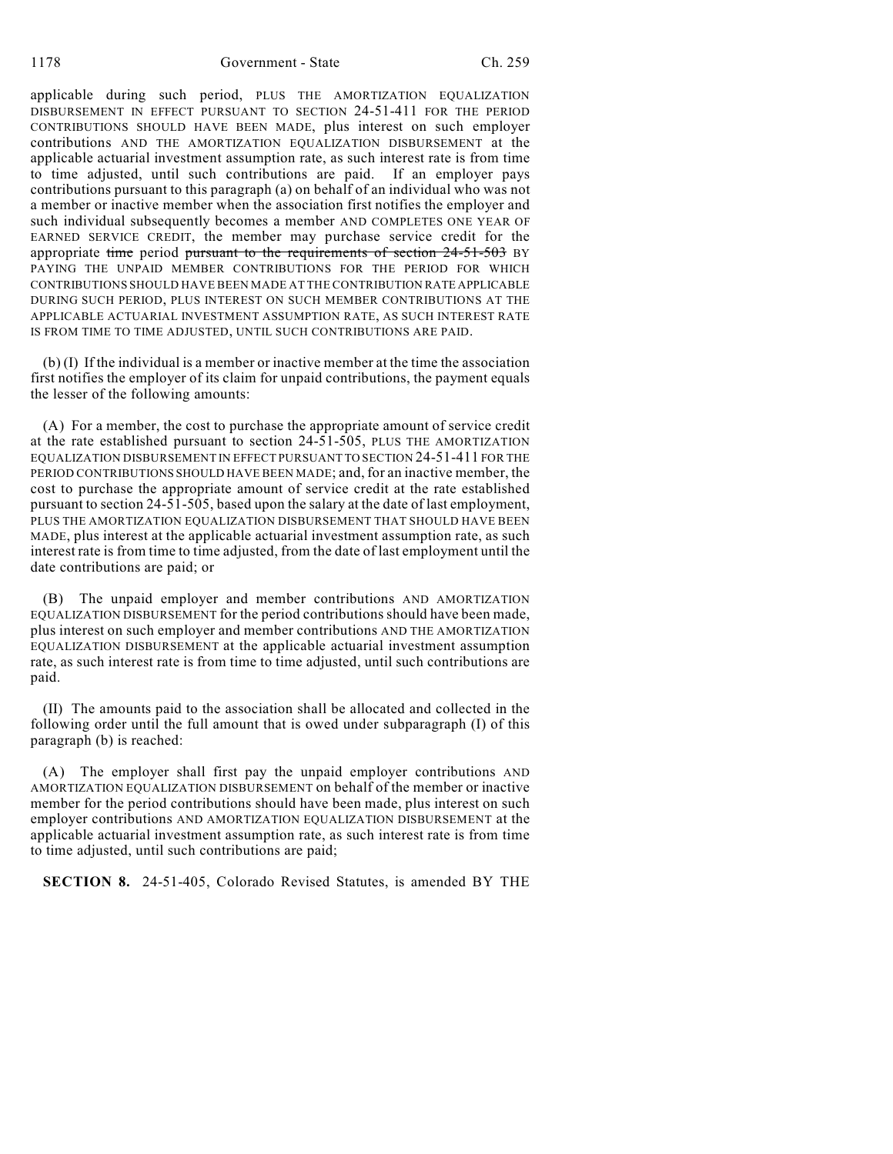1178 Government - State Ch. 259

applicable during such period, PLUS THE AMORTIZATION EQUALIZATION DISBURSEMENT IN EFFECT PURSUANT TO SECTION 24-51-411 FOR THE PERIOD CONTRIBUTIONS SHOULD HAVE BEEN MADE, plus interest on such employer contributions AND THE AMORTIZATION EQUALIZATION DISBURSEMENT at the applicable actuarial investment assumption rate, as such interest rate is from time to time adjusted, until such contributions are paid. If an employer pays contributions pursuant to this paragraph (a) on behalf of an individual who was not a member or inactive member when the association first notifies the employer and such individual subsequently becomes a member AND COMPLETES ONE YEAR OF EARNED SERVICE CREDIT, the member may purchase service credit for the appropriate time period pursuant to the requirements of section 24-51-503 BY PAYING THE UNPAID MEMBER CONTRIBUTIONS FOR THE PERIOD FOR WHICH CONTRIBUTIONS SHOULD HAVE BEEN MADE AT THE CONTRIBUTION RATE APPLICABLE DURING SUCH PERIOD, PLUS INTEREST ON SUCH MEMBER CONTRIBUTIONS AT THE APPLICABLE ACTUARIAL INVESTMENT ASSUMPTION RATE, AS SUCH INTEREST RATE IS FROM TIME TO TIME ADJUSTED, UNTIL SUCH CONTRIBUTIONS ARE PAID.

(b) (I) If the individual is a member or inactive member at the time the association first notifies the employer of its claim for unpaid contributions, the payment equals the lesser of the following amounts:

(A) For a member, the cost to purchase the appropriate amount of service credit at the rate established pursuant to section 24-51-505, PLUS THE AMORTIZATION EQUALIZATION DISBURSEMENT IN EFFECT PURSUANT TO SECTION 24-51-411 FOR THE PERIOD CONTRIBUTIONS SHOULD HAVE BEEN MADE; and, for an inactive member, the cost to purchase the appropriate amount of service credit at the rate established pursuant to section 24-51-505, based upon the salary at the date of last employment, PLUS THE AMORTIZATION EQUALIZATION DISBURSEMENT THAT SHOULD HAVE BEEN MADE, plus interest at the applicable actuarial investment assumption rate, as such interest rate is from time to time adjusted, from the date of last employment until the date contributions are paid; or

(B) The unpaid employer and member contributions AND AMORTIZATION EQUALIZATION DISBURSEMENT for the period contributions should have been made, plus interest on such employer and member contributions AND THE AMORTIZATION EQUALIZATION DISBURSEMENT at the applicable actuarial investment assumption rate, as such interest rate is from time to time adjusted, until such contributions are paid.

(II) The amounts paid to the association shall be allocated and collected in the following order until the full amount that is owed under subparagraph (I) of this paragraph (b) is reached:

(A) The employer shall first pay the unpaid employer contributions AND AMORTIZATION EQUALIZATION DISBURSEMENT on behalf of the member or inactive member for the period contributions should have been made, plus interest on such employer contributions AND AMORTIZATION EQUALIZATION DISBURSEMENT at the applicable actuarial investment assumption rate, as such interest rate is from time to time adjusted, until such contributions are paid;

**SECTION 8.** 24-51-405, Colorado Revised Statutes, is amended BY THE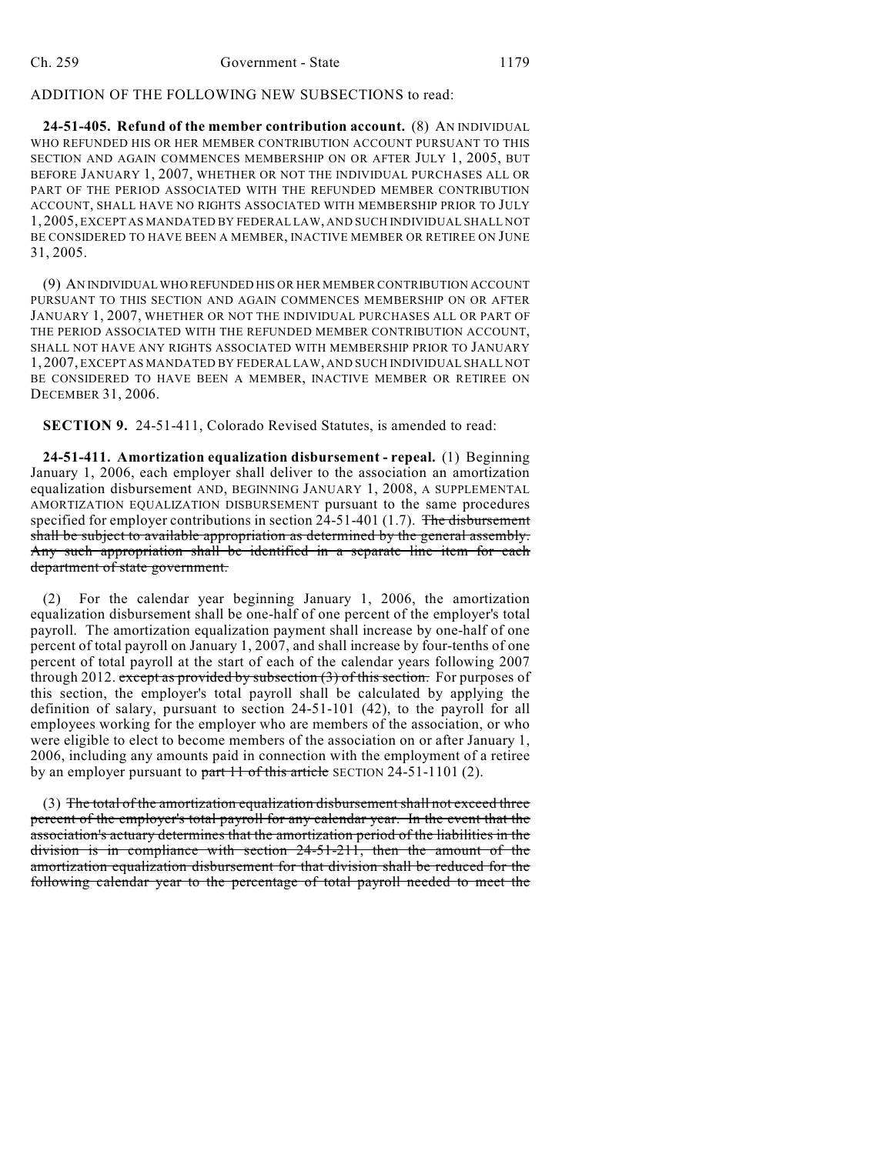# ADDITION OF THE FOLLOWING NEW SUBSECTIONS to read:

**24-51-405. Refund of the member contribution account.** (8) AN INDIVIDUAL WHO REFUNDED HIS OR HER MEMBER CONTRIBUTION ACCOUNT PURSUANT TO THIS SECTION AND AGAIN COMMENCES MEMBERSHIP ON OR AFTER JULY 1, 2005, BUT BEFORE JANUARY 1, 2007, WHETHER OR NOT THE INDIVIDUAL PURCHASES ALL OR PART OF THE PERIOD ASSOCIATED WITH THE REFUNDED MEMBER CONTRIBUTION ACCOUNT, SHALL HAVE NO RIGHTS ASSOCIATED WITH MEMBERSHIP PRIOR TO JULY 1, 2005, EXCEPT AS MANDATED BY FEDERAL LAW, AND SUCH INDIVIDUAL SHALL NOT BE CONSIDERED TO HAVE BEEN A MEMBER, INACTIVE MEMBER OR RETIREE ON JUNE 31, 2005.

(9) AN INDIVIDUAL WHO REFUNDED HIS OR HER MEMBER CONTRIBUTION ACCOUNT PURSUANT TO THIS SECTION AND AGAIN COMMENCES MEMBERSHIP ON OR AFTER JANUARY 1, 2007, WHETHER OR NOT THE INDIVIDUAL PURCHASES ALL OR PART OF THE PERIOD ASSOCIATED WITH THE REFUNDED MEMBER CONTRIBUTION ACCOUNT, SHALL NOT HAVE ANY RIGHTS ASSOCIATED WITH MEMBERSHIP PRIOR TO JANUARY 1, 2007, EXCEPT AS MANDATED BY FEDERAL LAW, AND SUCH INDIVIDUAL SHALL NOT BE CONSIDERED TO HAVE BEEN A MEMBER, INACTIVE MEMBER OR RETIREE ON DECEMBER 31, 2006.

**SECTION 9.** 24-51-411, Colorado Revised Statutes, is amended to read:

**24-51-411. Amortization equalization disbursement - repeal.** (1) Beginning January 1, 2006, each employer shall deliver to the association an amortization equalization disbursement AND, BEGINNING JANUARY 1, 2008, A SUPPLEMENTAL AMORTIZATION EQUALIZATION DISBURSEMENT pursuant to the same procedures specified for employer contributions in section 24-51-401 (1.7). The disbursement shall be subject to available appropriation as determined by the general assembly. Any such appropriation shall be identified in a separate line item for each department of state government.

(2) For the calendar year beginning January 1, 2006, the amortization equalization disbursement shall be one-half of one percent of the employer's total payroll. The amortization equalization payment shall increase by one-half of one percent of total payroll on January 1, 2007, and shall increase by four-tenths of one percent of total payroll at the start of each of the calendar years following 2007 through 2012. except as provided by subsection  $(3)$  of this section. For purposes of this section, the employer's total payroll shall be calculated by applying the definition of salary, pursuant to section 24-51-101 (42), to the payroll for all employees working for the employer who are members of the association, or who were eligible to elect to become members of the association on or after January 1, 2006, including any amounts paid in connection with the employment of a retiree by an employer pursuant to part  $11$  of this article SECTION 24-51-1101 (2).

(3) The total of the amortization equalization disbursement shall not exceed three percent of the employer's total payroll for any calendar year. In the event that the association's actuary determines that the amortization period of the liabilities in the division is in compliance with section 24-51-211, then the amount of the amortization equalization disbursement for that division shall be reduced for the following calendar year to the percentage of total payroll needed to meet the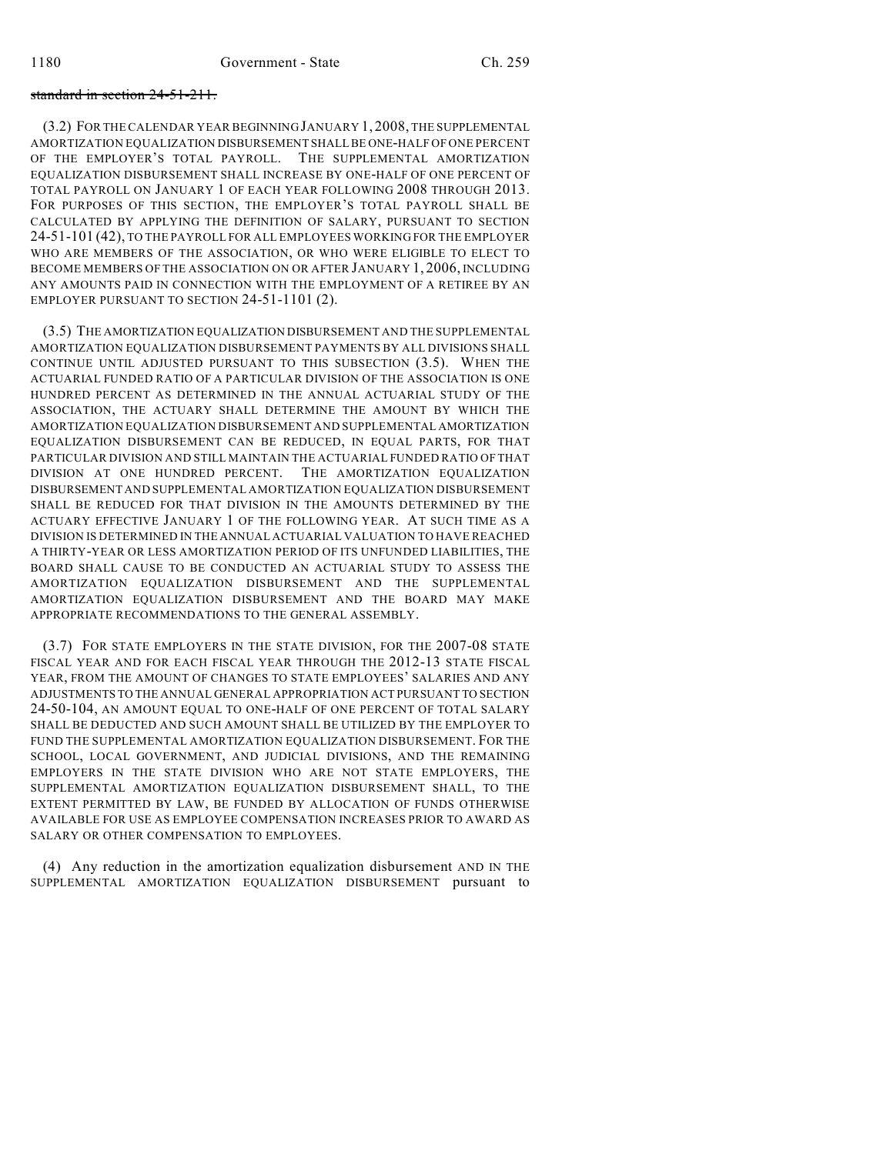### standard in section 24-51-211.

(3.2) FOR THE CALENDAR YEAR BEGINNING JANUARY 1, 2008, THE SUPPLEMENTAL AMORTIZATION EQUALIZATION DISBURSEMENT SHALL BE ONE-HALF OF ONE PERCENT OF THE EMPLOYER'S TOTAL PAYROLL. THE SUPPLEMENTAL AMORTIZATION EQUALIZATION DISBURSEMENT SHALL INCREASE BY ONE-HALF OF ONE PERCENT OF TOTAL PAYROLL ON JANUARY 1 OF EACH YEAR FOLLOWING 2008 THROUGH 2013. FOR PURPOSES OF THIS SECTION, THE EMPLOYER'S TOTAL PAYROLL SHALL BE CALCULATED BY APPLYING THE DEFINITION OF SALARY, PURSUANT TO SECTION 24-51-101 (42), TO THE PAYROLL FOR ALL EMPLOYEES WORKING FOR THE EMPLOYER WHO ARE MEMBERS OF THE ASSOCIATION, OR WHO WERE ELIGIBLE TO ELECT TO BECOME MEMBERS OF THE ASSOCIATION ON OR AFTER JANUARY 1, 2006, INCLUDING ANY AMOUNTS PAID IN CONNECTION WITH THE EMPLOYMENT OF A RETIREE BY AN EMPLOYER PURSUANT TO SECTION 24-51-1101 (2).

(3.5) THE AMORTIZATION EQUALIZATION DISBURSEMENT AND THE SUPPLEMENTAL AMORTIZATION EQUALIZATION DISBURSEMENT PAYMENTS BY ALL DIVISIONS SHALL CONTINUE UNTIL ADJUSTED PURSUANT TO THIS SUBSECTION (3.5). WHEN THE ACTUARIAL FUNDED RATIO OF A PARTICULAR DIVISION OF THE ASSOCIATION IS ONE HUNDRED PERCENT AS DETERMINED IN THE ANNUAL ACTUARIAL STUDY OF THE ASSOCIATION, THE ACTUARY SHALL DETERMINE THE AMOUNT BY WHICH THE AMORTIZATION EQUALIZATION DISBURSEMENT AND SUPPLEMENTAL AMORTIZATION EQUALIZATION DISBURSEMENT CAN BE REDUCED, IN EQUAL PARTS, FOR THAT PARTICULAR DIVISION AND STILL MAINTAIN THE ACTUARIAL FUNDED RATIO OF THAT DIVISION AT ONE HUNDRED PERCENT. THE AMORTIZATION EQUALIZATION DISBURSEMENT AND SUPPLEMENTAL AMORTIZATION EQUALIZATION DISBURSEMENT SHALL BE REDUCED FOR THAT DIVISION IN THE AMOUNTS DETERMINED BY THE ACTUARY EFFECTIVE JANUARY 1 OF THE FOLLOWING YEAR. AT SUCH TIME AS A DIVISION IS DETERMINED IN THE ANNUAL ACTUARIAL VALUATION TO HAVE REACHED A THIRTY-YEAR OR LESS AMORTIZATION PERIOD OF ITS UNFUNDED LIABILITIES, THE BOARD SHALL CAUSE TO BE CONDUCTED AN ACTUARIAL STUDY TO ASSESS THE AMORTIZATION EQUALIZATION DISBURSEMENT AND THE SUPPLEMENTAL AMORTIZATION EQUALIZATION DISBURSEMENT AND THE BOARD MAY MAKE APPROPRIATE RECOMMENDATIONS TO THE GENERAL ASSEMBLY.

(3.7) FOR STATE EMPLOYERS IN THE STATE DIVISION, FOR THE 2007-08 STATE FISCAL YEAR AND FOR EACH FISCAL YEAR THROUGH THE 2012-13 STATE FISCAL YEAR, FROM THE AMOUNT OF CHANGES TO STATE EMPLOYEES' SALARIES AND ANY ADJUSTMENTS TO THE ANNUAL GENERAL APPROPRIATION ACT PURSUANT TO SECTION 24-50-104, AN AMOUNT EQUAL TO ONE-HALF OF ONE PERCENT OF TOTAL SALARY SHALL BE DEDUCTED AND SUCH AMOUNT SHALL BE UTILIZED BY THE EMPLOYER TO FUND THE SUPPLEMENTAL AMORTIZATION EQUALIZATION DISBURSEMENT. FOR THE SCHOOL, LOCAL GOVERNMENT, AND JUDICIAL DIVISIONS, AND THE REMAINING EMPLOYERS IN THE STATE DIVISION WHO ARE NOT STATE EMPLOYERS, THE SUPPLEMENTAL AMORTIZATION EQUALIZATION DISBURSEMENT SHALL, TO THE EXTENT PERMITTED BY LAW, BE FUNDED BY ALLOCATION OF FUNDS OTHERWISE AVAILABLE FOR USE AS EMPLOYEE COMPENSATION INCREASES PRIOR TO AWARD AS SALARY OR OTHER COMPENSATION TO EMPLOYEES.

(4) Any reduction in the amortization equalization disbursement AND IN THE SUPPLEMENTAL AMORTIZATION EQUALIZATION DISBURSEMENT pursuant to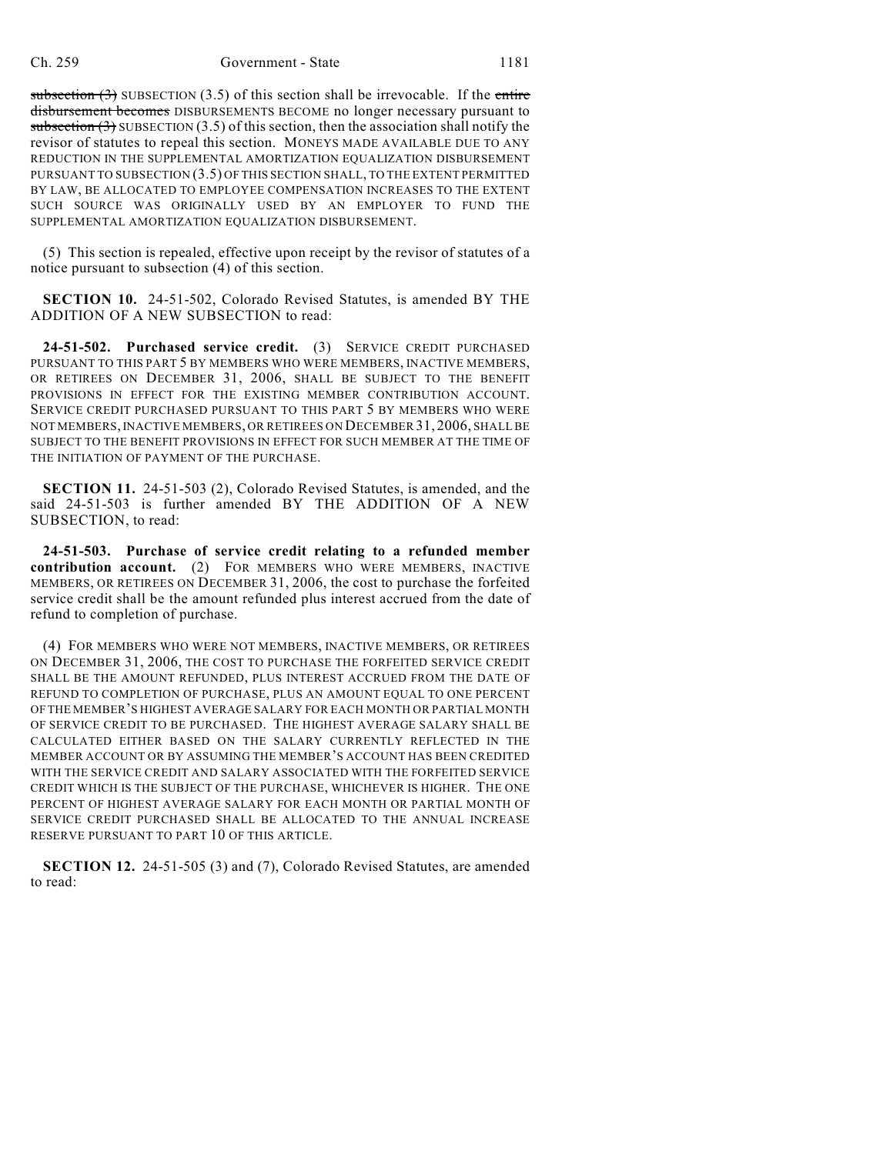subsection  $(3)$  SUBSECTION  $(3.5)$  of this section shall be irrevocable. If the entire disbursement becomes DISBURSEMENTS BECOME no longer necessary pursuant to subsection  $(3)$  SUBSECTION  $(3.5)$  of this section, then the association shall notify the revisor of statutes to repeal this section. MONEYS MADE AVAILABLE DUE TO ANY REDUCTION IN THE SUPPLEMENTAL AMORTIZATION EQUALIZATION DISBURSEMENT PURSUANT TO SUBSECTION (3.5) OF THIS SECTION SHALL, TO THE EXTENT PERMITTED BY LAW, BE ALLOCATED TO EMPLOYEE COMPENSATION INCREASES TO THE EXTENT SUCH SOURCE WAS ORIGINALLY USED BY AN EMPLOYER TO FUND THE SUPPLEMENTAL AMORTIZATION EQUALIZATION DISBURSEMENT.

(5) This section is repealed, effective upon receipt by the revisor of statutes of a notice pursuant to subsection (4) of this section.

**SECTION 10.** 24-51-502, Colorado Revised Statutes, is amended BY THE ADDITION OF A NEW SUBSECTION to read:

**24-51-502. Purchased service credit.** (3) SERVICE CREDIT PURCHASED PURSUANT TO THIS PART 5 BY MEMBERS WHO WERE MEMBERS, INACTIVE MEMBERS, OR RETIREES ON DECEMBER 31, 2006, SHALL BE SUBJECT TO THE BENEFIT PROVISIONS IN EFFECT FOR THE EXISTING MEMBER CONTRIBUTION ACCOUNT. SERVICE CREDIT PURCHASED PURSUANT TO THIS PART 5 BY MEMBERS WHO WERE NOT MEMBERS, INACTIVE MEMBERS, OR RETIREES ON DECEMBER 31, 2006, SHALL BE SUBJECT TO THE BENEFIT PROVISIONS IN EFFECT FOR SUCH MEMBER AT THE TIME OF THE INITIATION OF PAYMENT OF THE PURCHASE.

**SECTION 11.** 24-51-503 (2), Colorado Revised Statutes, is amended, and the said 24-51-503 is further amended BY THE ADDITION OF A NEW SUBSECTION, to read:

**24-51-503. Purchase of service credit relating to a refunded member contribution account.** (2) FOR MEMBERS WHO WERE MEMBERS, INACTIVE MEMBERS, OR RETIREES ON DECEMBER 31, 2006, the cost to purchase the forfeited service credit shall be the amount refunded plus interest accrued from the date of refund to completion of purchase.

(4) FOR MEMBERS WHO WERE NOT MEMBERS, INACTIVE MEMBERS, OR RETIREES ON DECEMBER 31, 2006, THE COST TO PURCHASE THE FORFEITED SERVICE CREDIT SHALL BE THE AMOUNT REFUNDED, PLUS INTEREST ACCRUED FROM THE DATE OF REFUND TO COMPLETION OF PURCHASE, PLUS AN AMOUNT EQUAL TO ONE PERCENT OF THE MEMBER'S HIGHEST AVERAGE SALARY FOR EACH MONTH OR PARTIAL MONTH OF SERVICE CREDIT TO BE PURCHASED. THE HIGHEST AVERAGE SALARY SHALL BE CALCULATED EITHER BASED ON THE SALARY CURRENTLY REFLECTED IN THE MEMBER ACCOUNT OR BY ASSUMING THE MEMBER'S ACCOUNT HAS BEEN CREDITED WITH THE SERVICE CREDIT AND SALARY ASSOCIATED WITH THE FORFEITED SERVICE CREDIT WHICH IS THE SUBJECT OF THE PURCHASE, WHICHEVER IS HIGHER. THE ONE PERCENT OF HIGHEST AVERAGE SALARY FOR EACH MONTH OR PARTIAL MONTH OF SERVICE CREDIT PURCHASED SHALL BE ALLOCATED TO THE ANNUAL INCREASE RESERVE PURSUANT TO PART 10 OF THIS ARTICLE.

**SECTION 12.** 24-51-505 (3) and (7), Colorado Revised Statutes, are amended to read: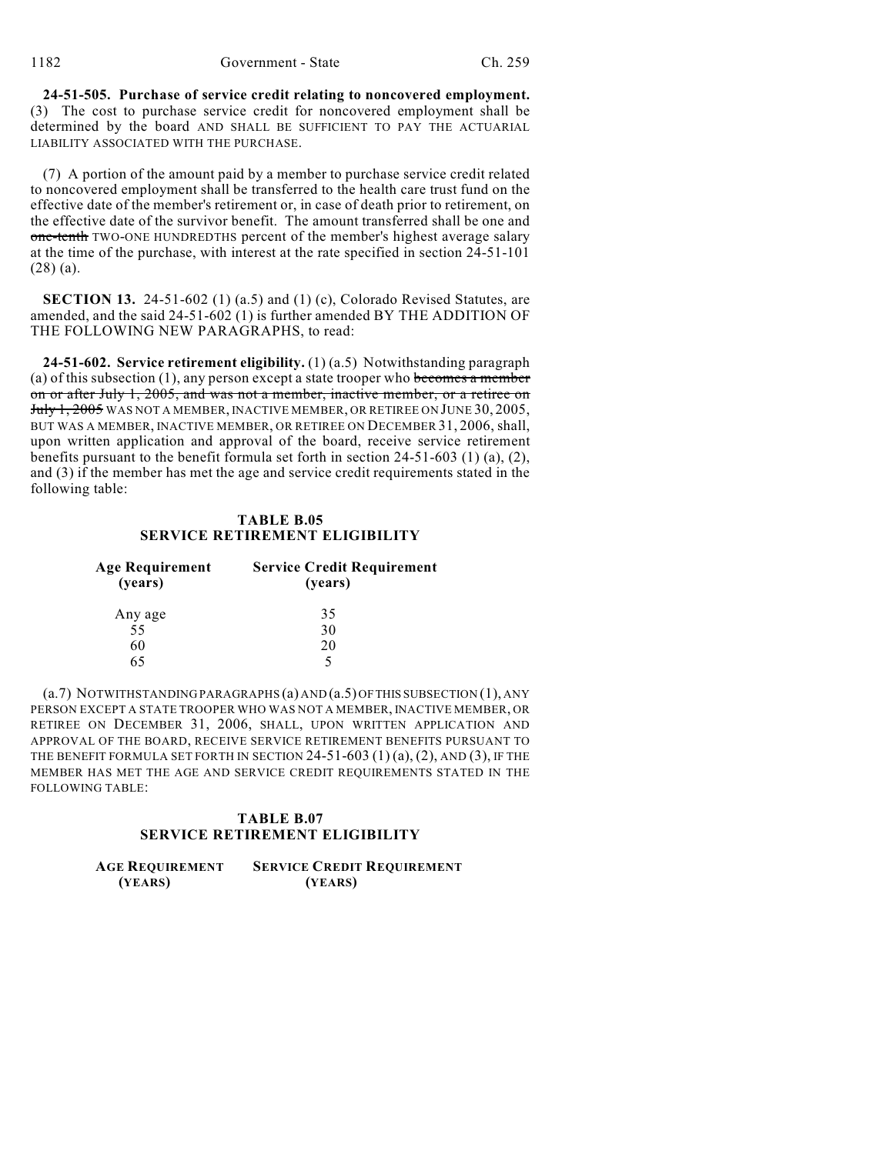**24-51-505. Purchase of service credit relating to noncovered employment.** (3) The cost to purchase service credit for noncovered employment shall be determined by the board AND SHALL BE SUFFICIENT TO PAY THE ACTUARIAL LIABILITY ASSOCIATED WITH THE PURCHASE.

(7) A portion of the amount paid by a member to purchase service credit related to noncovered employment shall be transferred to the health care trust fund on the effective date of the member's retirement or, in case of death prior to retirement, on the effective date of the survivor benefit. The amount transferred shall be one and one-tenth TWO-ONE HUNDREDTHS percent of the member's highest average salary at the time of the purchase, with interest at the rate specified in section 24-51-101 (28) (a).

**SECTION 13.** 24-51-602 (1) (a.5) and (1) (c), Colorado Revised Statutes, are amended, and the said 24-51-602 (1) is further amended BY THE ADDITION OF THE FOLLOWING NEW PARAGRAPHS, to read:

**24-51-602. Service retirement eligibility.** (1) (a.5) Notwithstanding paragraph (a) of this subsection  $(1)$ , any person except a state trooper who becomes a member on or after July 1, 2005, and was not a member, inactive member, or a retiree on July 1, 2005 WAS NOT A MEMBER, INACTIVE MEMBER, OR RETIREE ON JUNE 30, 2005, BUT WAS A MEMBER, INACTIVE MEMBER, OR RETIREE ON DECEMBER 31, 2006, shall, upon written application and approval of the board, receive service retirement benefits pursuant to the benefit formula set forth in section 24-51-603 (1) (a), (2), and (3) if the member has met the age and service credit requirements stated in the following table:

## **TABLE B.05 SERVICE RETIREMENT ELIGIBILITY**

| Age Requirement<br>(years) | <b>Service Credit Requirement</b><br>(years) |  |
|----------------------------|----------------------------------------------|--|
| Any age                    | 35                                           |  |
| 55                         | 30                                           |  |
| 60                         | 20                                           |  |
| 65                         |                                              |  |

(a.7) NOTWITHSTANDING PARAGRAPHS (a) AND (a.5) OF THIS SUBSECTION (1), ANY PERSON EXCEPT A STATE TROOPER WHO WAS NOT A MEMBER, INACTIVE MEMBER, OR RETIREE ON DECEMBER 31, 2006, SHALL, UPON WRITTEN APPLICATION AND APPROVAL OF THE BOARD, RECEIVE SERVICE RETIREMENT BENEFITS PURSUANT TO THE BENEFIT FORMULA SET FORTH IN SECTION  $24-51-603$  (1) (a), (2), AND (3), IF THE MEMBER HAS MET THE AGE AND SERVICE CREDIT REQUIREMENTS STATED IN THE FOLLOWING TABLE:

## **TABLE B.07 SERVICE RETIREMENT ELIGIBILITY**

| <b>AGE REQUIREMENT</b> | <b>SERVICE CREDIT REQUIREMENT</b> |
|------------------------|-----------------------------------|
| (YEARS)                | (YEARS)                           |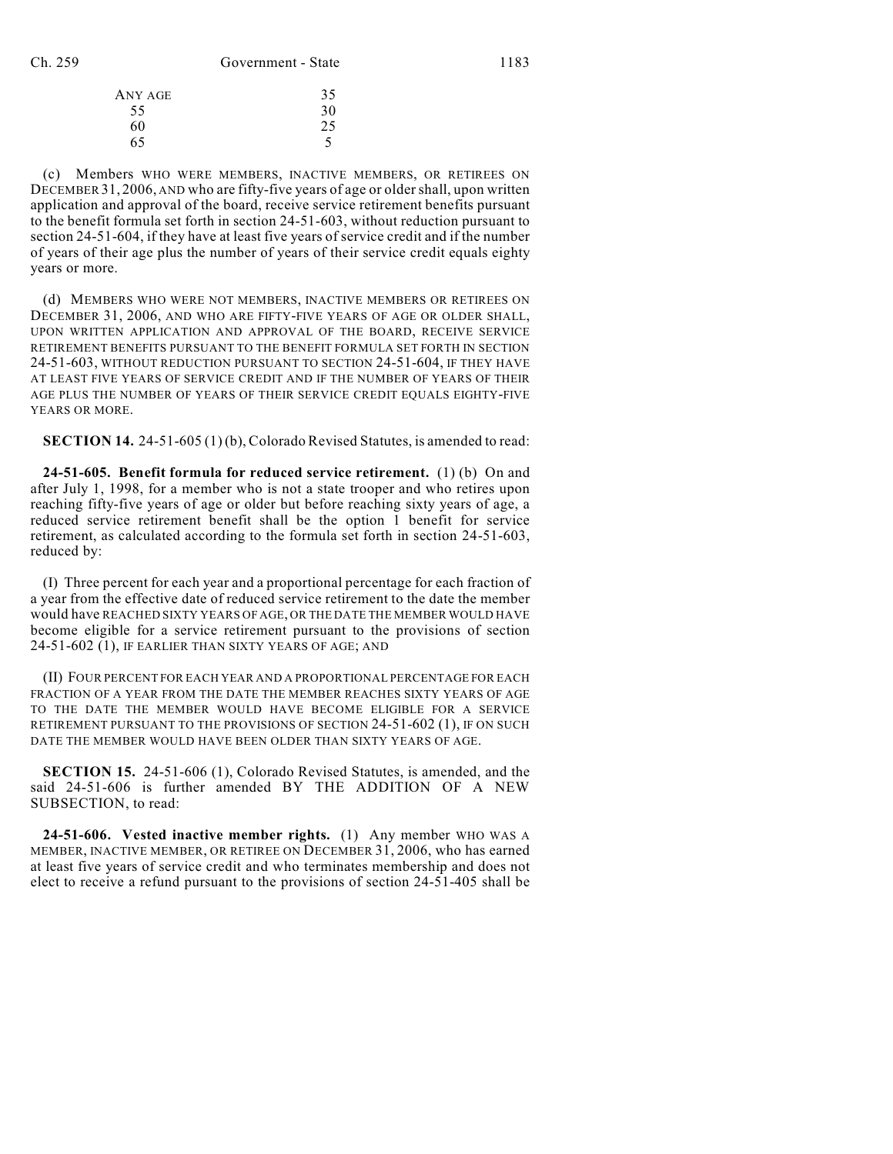| ANY AGE | 35 |
|---------|----|
| 55      | 30 |
| 60      | 25 |
| 65      |    |

(c) Members WHO WERE MEMBERS, INACTIVE MEMBERS, OR RETIREES ON DECEMBER 31, 2006, AND who are fifty-five years of age or older shall, upon written application and approval of the board, receive service retirement benefits pursuant to the benefit formula set forth in section 24-51-603, without reduction pursuant to section 24-51-604, if they have at least five years of service credit and if the number of years of their age plus the number of years of their service credit equals eighty years or more.

(d) MEMBERS WHO WERE NOT MEMBERS, INACTIVE MEMBERS OR RETIREES ON DECEMBER 31, 2006, AND WHO ARE FIFTY-FIVE YEARS OF AGE OR OLDER SHALL, UPON WRITTEN APPLICATION AND APPROVAL OF THE BOARD, RECEIVE SERVICE RETIREMENT BENEFITS PURSUANT TO THE BENEFIT FORMULA SET FORTH IN SECTION 24-51-603, WITHOUT REDUCTION PURSUANT TO SECTION 24-51-604, IF THEY HAVE AT LEAST FIVE YEARS OF SERVICE CREDIT AND IF THE NUMBER OF YEARS OF THEIR AGE PLUS THE NUMBER OF YEARS OF THEIR SERVICE CREDIT EQUALS EIGHTY-FIVE YEARS OR MORE.

**SECTION 14.** 24-51-605 (1) (b), Colorado Revised Statutes, is amended to read:

**24-51-605. Benefit formula for reduced service retirement.** (1) (b) On and after July 1, 1998, for a member who is not a state trooper and who retires upon reaching fifty-five years of age or older but before reaching sixty years of age, a reduced service retirement benefit shall be the option 1 benefit for service retirement, as calculated according to the formula set forth in section 24-51-603, reduced by:

(I) Three percent for each year and a proportional percentage for each fraction of a year from the effective date of reduced service retirement to the date the member would have REACHED SIXTY YEARS OF AGE, OR THE DATE THE MEMBER WOULD HAVE become eligible for a service retirement pursuant to the provisions of section 24-51-602 (1), IF EARLIER THAN SIXTY YEARS OF AGE; AND

(II) FOUR PERCENT FOR EACH YEAR AND A PROPORTIONAL PERCENTAGE FOR EACH FRACTION OF A YEAR FROM THE DATE THE MEMBER REACHES SIXTY YEARS OF AGE TO THE DATE THE MEMBER WOULD HAVE BECOME ELIGIBLE FOR A SERVICE RETIREMENT PURSUANT TO THE PROVISIONS OF SECTION 24-51-602 (1), IF ON SUCH DATE THE MEMBER WOULD HAVE BEEN OLDER THAN SIXTY YEARS OF AGE.

**SECTION 15.** 24-51-606 (1), Colorado Revised Statutes, is amended, and the said 24-51-606 is further amended BY THE ADDITION OF A NEW SUBSECTION, to read:

**24-51-606. Vested inactive member rights.** (1) Any member WHO WAS A MEMBER, INACTIVE MEMBER, OR RETIREE ON DECEMBER 31, 2006, who has earned at least five years of service credit and who terminates membership and does not elect to receive a refund pursuant to the provisions of section 24-51-405 shall be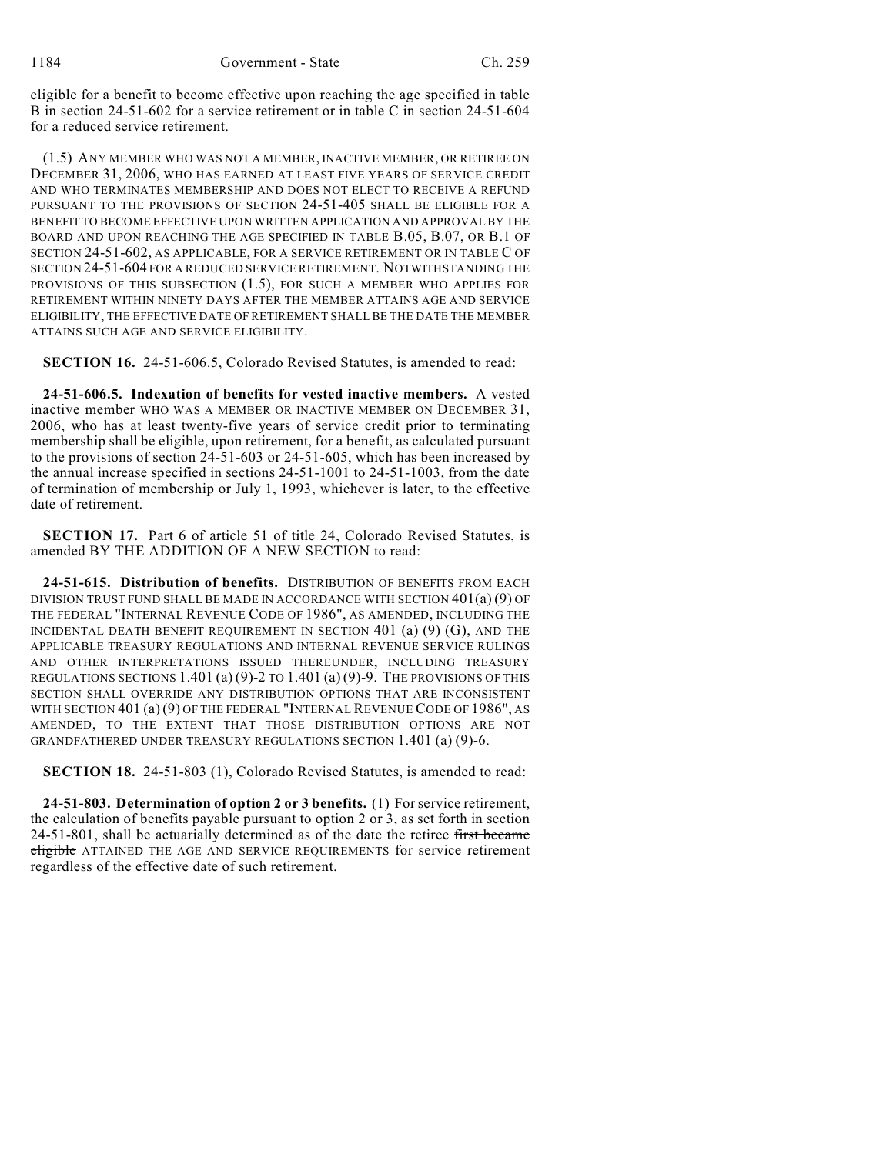eligible for a benefit to become effective upon reaching the age specified in table B in section 24-51-602 for a service retirement or in table C in section 24-51-604 for a reduced service retirement.

(1.5) ANY MEMBER WHO WAS NOT A MEMBER, INACTIVE MEMBER, OR RETIREE ON DECEMBER 31, 2006, WHO HAS EARNED AT LEAST FIVE YEARS OF SERVICE CREDIT AND WHO TERMINATES MEMBERSHIP AND DOES NOT ELECT TO RECEIVE A REFUND PURSUANT TO THE PROVISIONS OF SECTION 24-51-405 SHALL BE ELIGIBLE FOR A BENEFIT TO BECOME EFFECTIVE UPON WRITTEN APPLICATION AND APPROVAL BY THE BOARD AND UPON REACHING THE AGE SPECIFIED IN TABLE B.05, B.07, OR B.1 OF SECTION 24-51-602, AS APPLICABLE, FOR A SERVICE RETIREMENT OR IN TABLE C OF SECTION 24-51-604 FOR A REDUCED SERVICE RETIREMENT. NOTWITHSTANDING THE PROVISIONS OF THIS SUBSECTION (1.5), FOR SUCH A MEMBER WHO APPLIES FOR RETIREMENT WITHIN NINETY DAYS AFTER THE MEMBER ATTAINS AGE AND SERVICE ELIGIBILITY, THE EFFECTIVE DATE OF RETIREMENT SHALL BE THE DATE THE MEMBER ATTAINS SUCH AGE AND SERVICE ELIGIBILITY.

**SECTION 16.** 24-51-606.5, Colorado Revised Statutes, is amended to read:

**24-51-606.5. Indexation of benefits for vested inactive members.** A vested inactive member WHO WAS A MEMBER OR INACTIVE MEMBER ON DECEMBER 31, 2006, who has at least twenty-five years of service credit prior to terminating membership shall be eligible, upon retirement, for a benefit, as calculated pursuant to the provisions of section 24-51-603 or 24-51-605, which has been increased by the annual increase specified in sections 24-51-1001 to 24-51-1003, from the date of termination of membership or July 1, 1993, whichever is later, to the effective date of retirement.

**SECTION 17.** Part 6 of article 51 of title 24, Colorado Revised Statutes, is amended BY THE ADDITION OF A NEW SECTION to read:

**24-51-615. Distribution of benefits.** DISTRIBUTION OF BENEFITS FROM EACH DIVISION TRUST FUND SHALL BE MADE IN ACCORDANCE WITH SECTION 401(a) (9) OF THE FEDERAL "INTERNAL REVENUE CODE OF 1986", AS AMENDED, INCLUDING THE INCIDENTAL DEATH BENEFIT REQUIREMENT IN SECTION  $401$  (a) (9) (G), AND THE APPLICABLE TREASURY REGULATIONS AND INTERNAL REVENUE SERVICE RULINGS AND OTHER INTERPRETATIONS ISSUED THEREUNDER, INCLUDING TREASURY REGULATIONS SECTIONS  $1.401(a)(9)$ -2 to  $1.401(a)(9)$ -9. The provisions of this SECTION SHALL OVERRIDE ANY DISTRIBUTION OPTIONS THAT ARE INCONSISTENT WITH SECTION 401 (a) (9) OF THE FEDERAL "INTERNAL REVENUE CODE OF 1986", AS AMENDED, TO THE EXTENT THAT THOSE DISTRIBUTION OPTIONS ARE NOT GRANDFATHERED UNDER TREASURY REGULATIONS SECTION 1.401 (a) (9)-6.

**SECTION 18.** 24-51-803 (1), Colorado Revised Statutes, is amended to read:

**24-51-803. Determination of option 2 or 3 benefits.** (1) For service retirement, the calculation of benefits payable pursuant to option 2 or 3, as set forth in section 24-51-801, shall be actuarially determined as of the date the retiree first became eligible ATTAINED THE AGE AND SERVICE REQUIREMENTS for service retirement regardless of the effective date of such retirement.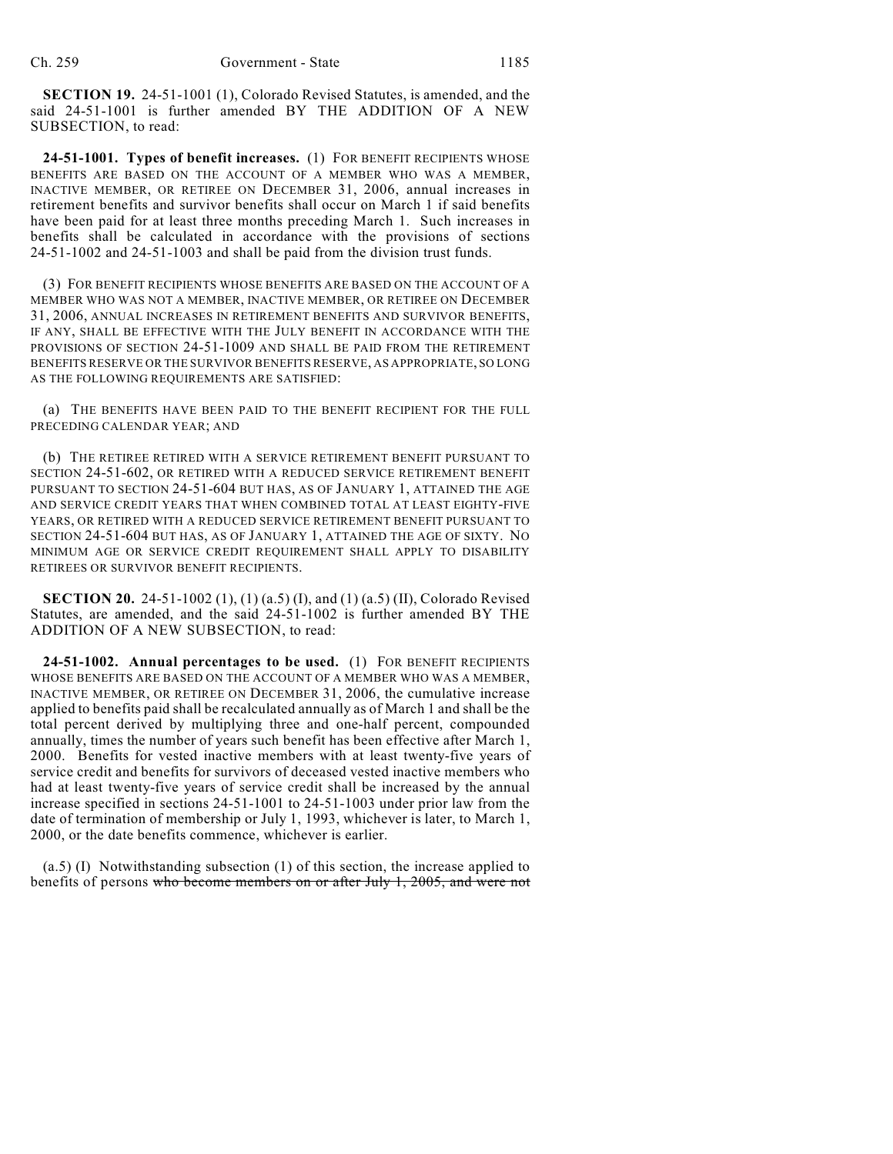**SECTION 19.** 24-51-1001 (1), Colorado Revised Statutes, is amended, and the said 24-51-1001 is further amended BY THE ADDITION OF A NEW SUBSECTION, to read:

**24-51-1001. Types of benefit increases.** (1) FOR BENEFIT RECIPIENTS WHOSE BENEFITS ARE BASED ON THE ACCOUNT OF A MEMBER WHO WAS A MEMBER, INACTIVE MEMBER, OR RETIREE ON DECEMBER 31, 2006, annual increases in retirement benefits and survivor benefits shall occur on March 1 if said benefits have been paid for at least three months preceding March 1. Such increases in benefits shall be calculated in accordance with the provisions of sections 24-51-1002 and 24-51-1003 and shall be paid from the division trust funds.

(3) FOR BENEFIT RECIPIENTS WHOSE BENEFITS ARE BASED ON THE ACCOUNT OF A MEMBER WHO WAS NOT A MEMBER, INACTIVE MEMBER, OR RETIREE ON DECEMBER 31, 2006, ANNUAL INCREASES IN RETIREMENT BENEFITS AND SURVIVOR BENEFITS, IF ANY, SHALL BE EFFECTIVE WITH THE JULY BENEFIT IN ACCORDANCE WITH THE PROVISIONS OF SECTION 24-51-1009 AND SHALL BE PAID FROM THE RETIREMENT BENEFITS RESERVE OR THE SURVIVOR BENEFITS RESERVE, AS APPROPRIATE, SO LONG AS THE FOLLOWING REQUIREMENTS ARE SATISFIED:

(a) THE BENEFITS HAVE BEEN PAID TO THE BENEFIT RECIPIENT FOR THE FULL PRECEDING CALENDAR YEAR; AND

(b) THE RETIREE RETIRED WITH A SERVICE RETIREMENT BENEFIT PURSUANT TO SECTION 24-51-602, OR RETIRED WITH A REDUCED SERVICE RETIREMENT BENEFIT PURSUANT TO SECTION 24-51-604 BUT HAS, AS OF JANUARY 1, ATTAINED THE AGE AND SERVICE CREDIT YEARS THAT WHEN COMBINED TOTAL AT LEAST EIGHTY-FIVE YEARS, OR RETIRED WITH A REDUCED SERVICE RETIREMENT BENEFIT PURSUANT TO SECTION 24-51-604 BUT HAS, AS OF JANUARY 1, ATTAINED THE AGE OF SIXTY. NO MINIMUM AGE OR SERVICE CREDIT REQUIREMENT SHALL APPLY TO DISABILITY RETIREES OR SURVIVOR BENEFIT RECIPIENTS.

**SECTION 20.** 24-51-1002 (1), (1) (a.5) (I), and (1) (a.5) (II), Colorado Revised Statutes, are amended, and the said 24-51-1002 is further amended BY THE ADDITION OF A NEW SUBSECTION, to read:

**24-51-1002. Annual percentages to be used.** (1) FOR BENEFIT RECIPIENTS WHOSE BENEFITS ARE BASED ON THE ACCOUNT OF A MEMBER WHO WAS A MEMBER, INACTIVE MEMBER, OR RETIREE ON DECEMBER 31, 2006, the cumulative increase applied to benefits paid shall be recalculated annually as of March 1 and shall be the total percent derived by multiplying three and one-half percent, compounded annually, times the number of years such benefit has been effective after March 1, 2000. Benefits for vested inactive members with at least twenty-five years of service credit and benefits for survivors of deceased vested inactive members who had at least twenty-five years of service credit shall be increased by the annual increase specified in sections 24-51-1001 to 24-51-1003 under prior law from the date of termination of membership or July 1, 1993, whichever is later, to March 1, 2000, or the date benefits commence, whichever is earlier.

(a.5) (I) Notwithstanding subsection (1) of this section, the increase applied to benefits of persons who become members on or after July 1, 2005, and were not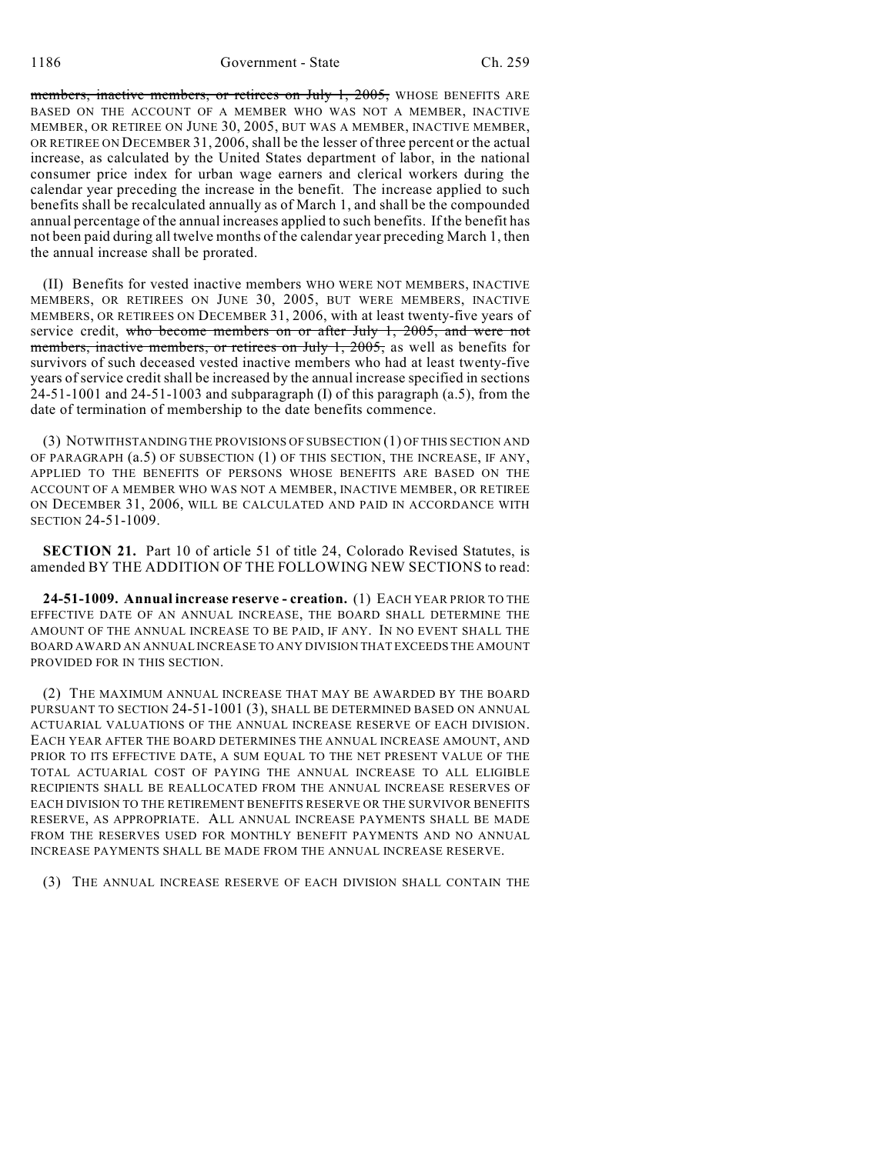members, inactive members, or retirees on July 1, 2005, WHOSE BENEFITS ARE BASED ON THE ACCOUNT OF A MEMBER WHO WAS NOT A MEMBER, INACTIVE MEMBER, OR RETIREE ON JUNE 30, 2005, BUT WAS A MEMBER, INACTIVE MEMBER, OR RETIREE ON DECEMBER 31, 2006, shall be the lesser of three percent or the actual increase, as calculated by the United States department of labor, in the national consumer price index for urban wage earners and clerical workers during the calendar year preceding the increase in the benefit. The increase applied to such benefits shall be recalculated annually as of March 1, and shall be the compounded annual percentage of the annual increases applied to such benefits. If the benefit has not been paid during all twelve months of the calendar year preceding March 1, then the annual increase shall be prorated.

(II) Benefits for vested inactive members WHO WERE NOT MEMBERS, INACTIVE MEMBERS, OR RETIREES ON JUNE 30, 2005, BUT WERE MEMBERS, INACTIVE MEMBERS, OR RETIREES ON DECEMBER 31, 2006, with at least twenty-five years of service credit, who become members on or after July 1, 2005, and were not members, inactive members, or retirees on July 1, 2005, as well as benefits for survivors of such deceased vested inactive members who had at least twenty-five years of service credit shall be increased by the annual increase specified in sections  $24-51-1001$  and  $24-51-1003$  and subparagraph (I) of this paragraph (a.5), from the date of termination of membership to the date benefits commence.

(3) NOTWITHSTANDING THE PROVISIONS OF SUBSECTION (1) OF THIS SECTION AND OF PARAGRAPH (a.5) OF SUBSECTION (1) OF THIS SECTION, THE INCREASE, IF ANY, APPLIED TO THE BENEFITS OF PERSONS WHOSE BENEFITS ARE BASED ON THE ACCOUNT OF A MEMBER WHO WAS NOT A MEMBER, INACTIVE MEMBER, OR RETIREE ON DECEMBER 31, 2006, WILL BE CALCULATED AND PAID IN ACCORDANCE WITH SECTION 24-51-1009.

**SECTION 21.** Part 10 of article 51 of title 24, Colorado Revised Statutes, is amended BY THE ADDITION OF THE FOLLOWING NEW SECTIONS to read:

**24-51-1009. Annual increase reserve - creation.** (1) EACH YEAR PRIOR TO THE EFFECTIVE DATE OF AN ANNUAL INCREASE, THE BOARD SHALL DETERMINE THE AMOUNT OF THE ANNUAL INCREASE TO BE PAID, IF ANY. IN NO EVENT SHALL THE BOARD AWARD AN ANNUAL INCREASE TO ANY DIVISION THAT EXCEEDS THE AMOUNT PROVIDED FOR IN THIS SECTION.

(2) THE MAXIMUM ANNUAL INCREASE THAT MAY BE AWARDED BY THE BOARD PURSUANT TO SECTION 24-51-1001 (3), SHALL BE DETERMINED BASED ON ANNUAL ACTUARIAL VALUATIONS OF THE ANNUAL INCREASE RESERVE OF EACH DIVISION. EACH YEAR AFTER THE BOARD DETERMINES THE ANNUAL INCREASE AMOUNT, AND PRIOR TO ITS EFFECTIVE DATE, A SUM EQUAL TO THE NET PRESENT VALUE OF THE TOTAL ACTUARIAL COST OF PAYING THE ANNUAL INCREASE TO ALL ELIGIBLE RECIPIENTS SHALL BE REALLOCATED FROM THE ANNUAL INCREASE RESERVES OF EACH DIVISION TO THE RETIREMENT BENEFITS RESERVE OR THE SURVIVOR BENEFITS RESERVE, AS APPROPRIATE. ALL ANNUAL INCREASE PAYMENTS SHALL BE MADE FROM THE RESERVES USED FOR MONTHLY BENEFIT PAYMENTS AND NO ANNUAL INCREASE PAYMENTS SHALL BE MADE FROM THE ANNUAL INCREASE RESERVE.

(3) THE ANNUAL INCREASE RESERVE OF EACH DIVISION SHALL CONTAIN THE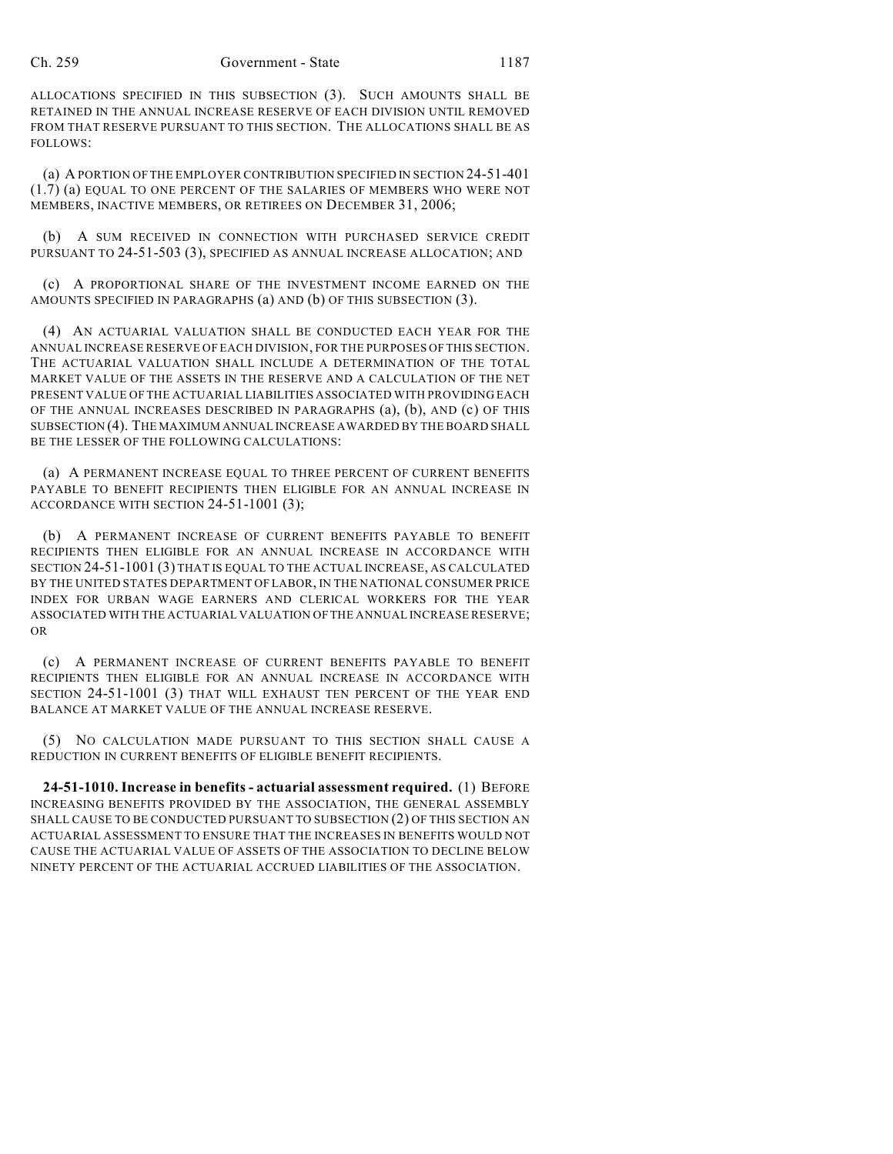ALLOCATIONS SPECIFIED IN THIS SUBSECTION (3). SUCH AMOUNTS SHALL BE RETAINED IN THE ANNUAL INCREASE RESERVE OF EACH DIVISION UNTIL REMOVED FROM THAT RESERVE PURSUANT TO THIS SECTION. THE ALLOCATIONS SHALL BE AS FOLLOWS:

(a) A PORTION OF THE EMPLOYER CONTRIBUTION SPECIFIED IN SECTION 24-51-401 (1.7) (a) EQUAL TO ONE PERCENT OF THE SALARIES OF MEMBERS WHO WERE NOT MEMBERS, INACTIVE MEMBERS, OR RETIREES ON DECEMBER 31, 2006;

(b) A SUM RECEIVED IN CONNECTION WITH PURCHASED SERVICE CREDIT PURSUANT TO 24-51-503 (3), SPECIFIED AS ANNUAL INCREASE ALLOCATION; AND

(c) A PROPORTIONAL SHARE OF THE INVESTMENT INCOME EARNED ON THE AMOUNTS SPECIFIED IN PARAGRAPHS (a) AND (b) OF THIS SUBSECTION (3).

(4) AN ACTUARIAL VALUATION SHALL BE CONDUCTED EACH YEAR FOR THE ANNUAL INCREASE RESERVE OF EACH DIVISION, FOR THE PURPOSES OF THIS SECTION. THE ACTUARIAL VALUATION SHALL INCLUDE A DETERMINATION OF THE TOTAL MARKET VALUE OF THE ASSETS IN THE RESERVE AND A CALCULATION OF THE NET PRESENT VALUE OF THE ACTUARIAL LIABILITIES ASSOCIATED WITH PROVIDING EACH OF THE ANNUAL INCREASES DESCRIBED IN PARAGRAPHS (a), (b), AND (c) OF THIS SUBSECTION (4). THE MAXIMUM ANNUAL INCREASE AWARDED BY THE BOARD SHALL BE THE LESSER OF THE FOLLOWING CALCULATIONS:

(a) A PERMANENT INCREASE EQUAL TO THREE PERCENT OF CURRENT BENEFITS PAYABLE TO BENEFIT RECIPIENTS THEN ELIGIBLE FOR AN ANNUAL INCREASE IN ACCORDANCE WITH SECTION 24-51-1001 (3);

(b) A PERMANENT INCREASE OF CURRENT BENEFITS PAYABLE TO BENEFIT RECIPIENTS THEN ELIGIBLE FOR AN ANNUAL INCREASE IN ACCORDANCE WITH SECTION 24-51-1001 (3) THAT IS EQUAL TO THE ACTUAL INCREASE, AS CALCULATED BY THE UNITED STATES DEPARTMENT OF LABOR, IN THE NATIONAL CONSUMER PRICE INDEX FOR URBAN WAGE EARNERS AND CLERICAL WORKERS FOR THE YEAR ASSOCIATED WITH THE ACTUARIAL VALUATION OF THE ANNUAL INCREASE RESERVE; OR

(c) A PERMANENT INCREASE OF CURRENT BENEFITS PAYABLE TO BENEFIT RECIPIENTS THEN ELIGIBLE FOR AN ANNUAL INCREASE IN ACCORDANCE WITH SECTION 24-51-1001 (3) THAT WILL EXHAUST TEN PERCENT OF THE YEAR END BALANCE AT MARKET VALUE OF THE ANNUAL INCREASE RESERVE.

(5) NO CALCULATION MADE PURSUANT TO THIS SECTION SHALL CAUSE A REDUCTION IN CURRENT BENEFITS OF ELIGIBLE BENEFIT RECIPIENTS.

**24-51-1010. Increase in benefits - actuarial assessment required.** (1) BEFORE INCREASING BENEFITS PROVIDED BY THE ASSOCIATION, THE GENERAL ASSEMBLY SHALL CAUSE TO BE CONDUCTED PURSUANT TO SUBSECTION (2) OF THIS SECTION AN ACTUARIAL ASSESSMENT TO ENSURE THAT THE INCREASES IN BENEFITS WOULD NOT CAUSE THE ACTUARIAL VALUE OF ASSETS OF THE ASSOCIATION TO DECLINE BELOW NINETY PERCENT OF THE ACTUARIAL ACCRUED LIABILITIES OF THE ASSOCIATION.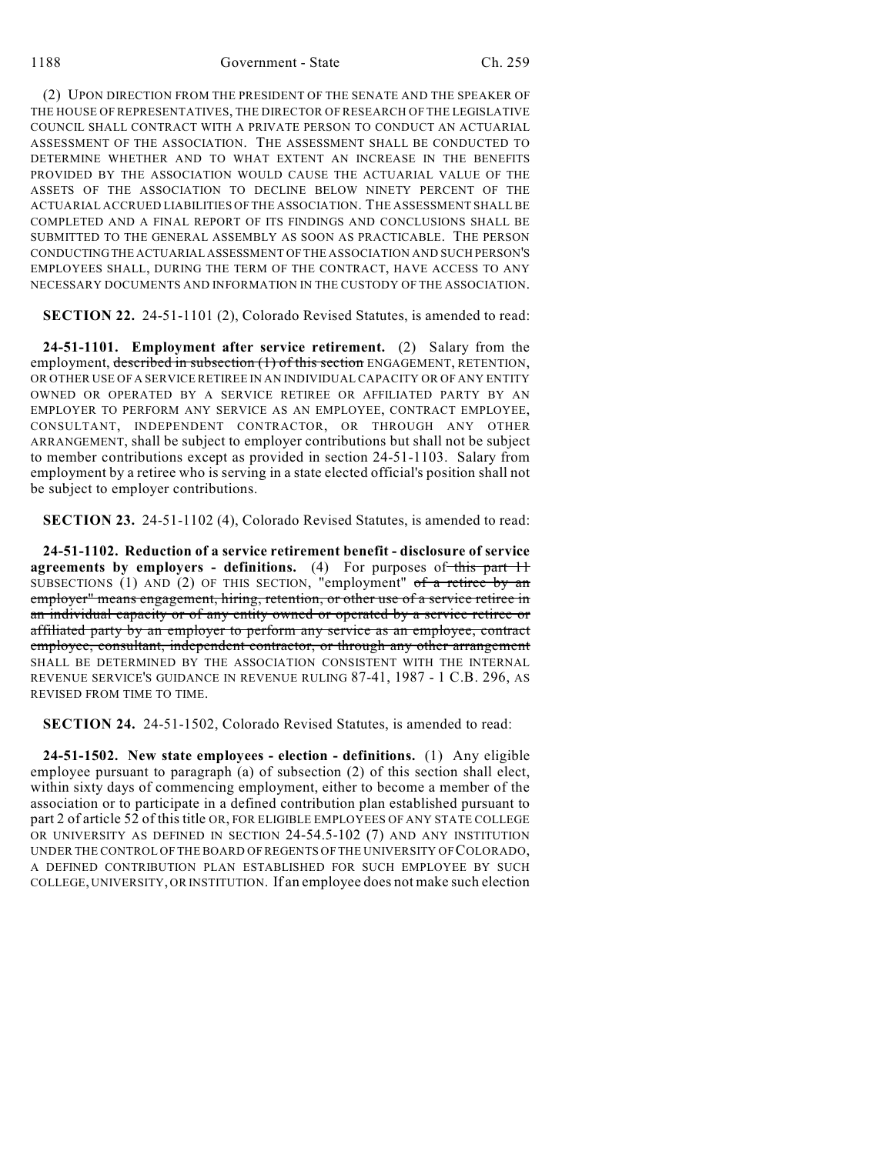(2) UPON DIRECTION FROM THE PRESIDENT OF THE SENATE AND THE SPEAKER OF THE HOUSE OF REPRESENTATIVES, THE DIRECTOR OF RESEARCH OF THE LEGISLATIVE COUNCIL SHALL CONTRACT WITH A PRIVATE PERSON TO CONDUCT AN ACTUARIAL ASSESSMENT OF THE ASSOCIATION. THE ASSESSMENT SHALL BE CONDUCTED TO DETERMINE WHETHER AND TO WHAT EXTENT AN INCREASE IN THE BENEFITS PROVIDED BY THE ASSOCIATION WOULD CAUSE THE ACTUARIAL VALUE OF THE ASSETS OF THE ASSOCIATION TO DECLINE BELOW NINETY PERCENT OF THE ACTUARIAL ACCRUED LIABILITIES OF THE ASSOCIATION. THE ASSESSMENT SHALL BE COMPLETED AND A FINAL REPORT OF ITS FINDINGS AND CONCLUSIONS SHALL BE SUBMITTED TO THE GENERAL ASSEMBLY AS SOON AS PRACTICABLE. THE PERSON CONDUCTING THE ACTUARIAL ASSESSMENT OF THE ASSOCIATION AND SUCH PERSON'S EMPLOYEES SHALL, DURING THE TERM OF THE CONTRACT, HAVE ACCESS TO ANY NECESSARY DOCUMENTS AND INFORMATION IN THE CUSTODY OF THE ASSOCIATION.

**SECTION 22.** 24-51-1101 (2), Colorado Revised Statutes, is amended to read:

**24-51-1101. Employment after service retirement.** (2) Salary from the employment, described in subsection (1) of this section ENGAGEMENT, RETENTION, OR OTHER USE OF A SERVICE RETIREE IN AN INDIVIDUAL CAPACITY OR OF ANY ENTITY OWNED OR OPERATED BY A SERVICE RETIREE OR AFFILIATED PARTY BY AN EMPLOYER TO PERFORM ANY SERVICE AS AN EMPLOYEE, CONTRACT EMPLOYEE, CONSULTANT, INDEPENDENT CONTRACTOR, OR THROUGH ANY OTHER ARRANGEMENT, shall be subject to employer contributions but shall not be subject to member contributions except as provided in section 24-51-1103. Salary from employment by a retiree who is serving in a state elected official's position shall not be subject to employer contributions.

**SECTION 23.** 24-51-1102 (4), Colorado Revised Statutes, is amended to read:

**24-51-1102. Reduction of a service retirement benefit - disclosure of service agreements by employers - definitions.** (4) For purposes of this part 11 SUBSECTIONS (1) AND (2) OF THIS SECTION, "employment" of a retiree by an employer" means engagement, hiring, retention, or other use of a service retiree in an individual capacity or of any entity owned or operated by a service retiree or affiliated party by an employer to perform any service as an employee, contract employee, consultant, independent contractor, or through any other arrangement SHALL BE DETERMINED BY THE ASSOCIATION CONSISTENT WITH THE INTERNAL REVENUE SERVICE'S GUIDANCE IN REVENUE RULING 87-41, 1987 - 1 C.B. 296, AS REVISED FROM TIME TO TIME.

**SECTION 24.** 24-51-1502, Colorado Revised Statutes, is amended to read:

**24-51-1502. New state employees - election - definitions.** (1) Any eligible employee pursuant to paragraph (a) of subsection (2) of this section shall elect, within sixty days of commencing employment, either to become a member of the association or to participate in a defined contribution plan established pursuant to part 2 of article 52 of this title OR, FOR ELIGIBLE EMPLOYEES OF ANY STATE COLLEGE OR UNIVERSITY AS DEFINED IN SECTION 24-54.5-102 (7) AND ANY INSTITUTION UNDER THE CONTROL OF THE BOARD OF REGENTS OF THE UNIVERSITY OF COLORADO, A DEFINED CONTRIBUTION PLAN ESTABLISHED FOR SUCH EMPLOYEE BY SUCH COLLEGE, UNIVERSITY, OR INSTITUTION. If an employee does not make such election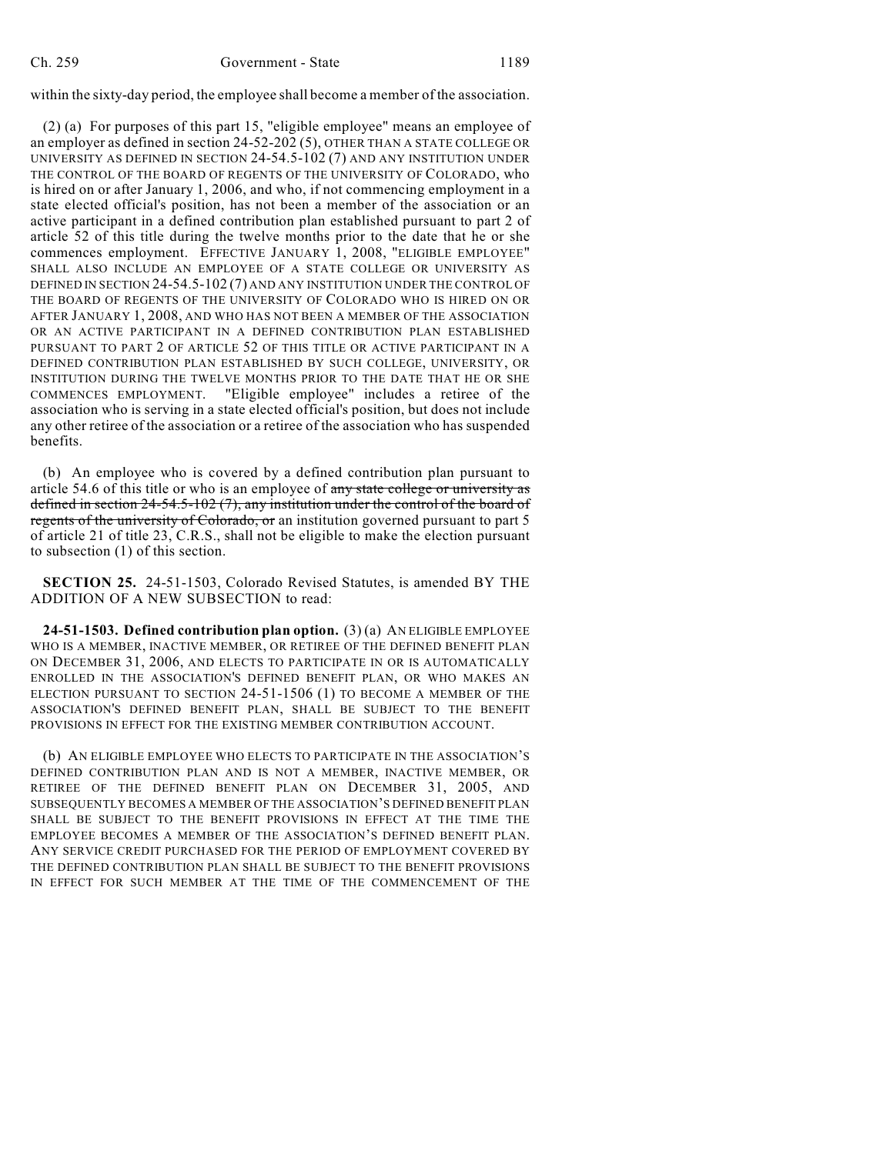within the sixty-day period, the employee shall become a member of the association.

(2) (a) For purposes of this part 15, "eligible employee" means an employee of an employer as defined in section 24-52-202 (5), OTHER THAN A STATE COLLEGE OR UNIVERSITY AS DEFINED IN SECTION 24-54.5-102 (7) AND ANY INSTITUTION UNDER THE CONTROL OF THE BOARD OF REGENTS OF THE UNIVERSITY OF COLORADO, who is hired on or after January 1, 2006, and who, if not commencing employment in a state elected official's position, has not been a member of the association or an active participant in a defined contribution plan established pursuant to part 2 of article 52 of this title during the twelve months prior to the date that he or she commences employment. EFFECTIVE JANUARY 1, 2008, "ELIGIBLE EMPLOYEE" SHALL ALSO INCLUDE AN EMPLOYEE OF A STATE COLLEGE OR UNIVERSITY AS DEFINED IN SECTION 24-54.5-102 (7) AND ANY INSTITUTION UNDER THE CONTROL OF THE BOARD OF REGENTS OF THE UNIVERSITY OF COLORADO WHO IS HIRED ON OR AFTER JANUARY 1, 2008, AND WHO HAS NOT BEEN A MEMBER OF THE ASSOCIATION OR AN ACTIVE PARTICIPANT IN A DEFINED CONTRIBUTION PLAN ESTABLISHED PURSUANT TO PART 2 OF ARTICLE 52 OF THIS TITLE OR ACTIVE PARTICIPANT IN A DEFINED CONTRIBUTION PLAN ESTABLISHED BY SUCH COLLEGE, UNIVERSITY, OR INSTITUTION DURING THE TWELVE MONTHS PRIOR TO THE DATE THAT HE OR SHE COMMENCES EMPLOYMENT. "Eligible employee" includes a retiree of the association who is serving in a state elected official's position, but does not include any other retiree of the association or a retiree of the association who has suspended benefits.

(b) An employee who is covered by a defined contribution plan pursuant to article 54.6 of this title or who is an employee of any state college or university as defined in section 24-54.5-102 (7), any institution under the control of the board of regents of the university of Colorado, or an institution governed pursuant to part 5 of article 21 of title 23, C.R.S., shall not be eligible to make the election pursuant to subsection (1) of this section.

**SECTION 25.** 24-51-1503, Colorado Revised Statutes, is amended BY THE ADDITION OF A NEW SUBSECTION to read:

**24-51-1503. Defined contribution plan option.** (3) (a) AN ELIGIBLE EMPLOYEE WHO IS A MEMBER, INACTIVE MEMBER, OR RETIREE OF THE DEFINED BENEFIT PLAN ON DECEMBER 31, 2006, AND ELECTS TO PARTICIPATE IN OR IS AUTOMATICALLY ENROLLED IN THE ASSOCIATION'S DEFINED BENEFIT PLAN, OR WHO MAKES AN ELECTION PURSUANT TO SECTION 24-51-1506 (1) TO BECOME A MEMBER OF THE ASSOCIATION'S DEFINED BENEFIT PLAN, SHALL BE SUBJECT TO THE BENEFIT PROVISIONS IN EFFECT FOR THE EXISTING MEMBER CONTRIBUTION ACCOUNT.

(b) AN ELIGIBLE EMPLOYEE WHO ELECTS TO PARTICIPATE IN THE ASSOCIATION'S DEFINED CONTRIBUTION PLAN AND IS NOT A MEMBER, INACTIVE MEMBER, OR RETIREE OF THE DEFINED BENEFIT PLAN ON DECEMBER 31, 2005, AND SUBSEQUENTLY BECOMES A MEMBER OF THE ASSOCIATION'S DEFINED BENEFIT PLAN SHALL BE SUBJECT TO THE BENEFIT PROVISIONS IN EFFECT AT THE TIME THE EMPLOYEE BECOMES A MEMBER OF THE ASSOCIATION'S DEFINED BENEFIT PLAN. ANY SERVICE CREDIT PURCHASED FOR THE PERIOD OF EMPLOYMENT COVERED BY THE DEFINED CONTRIBUTION PLAN SHALL BE SUBJECT TO THE BENEFIT PROVISIONS IN EFFECT FOR SUCH MEMBER AT THE TIME OF THE COMMENCEMENT OF THE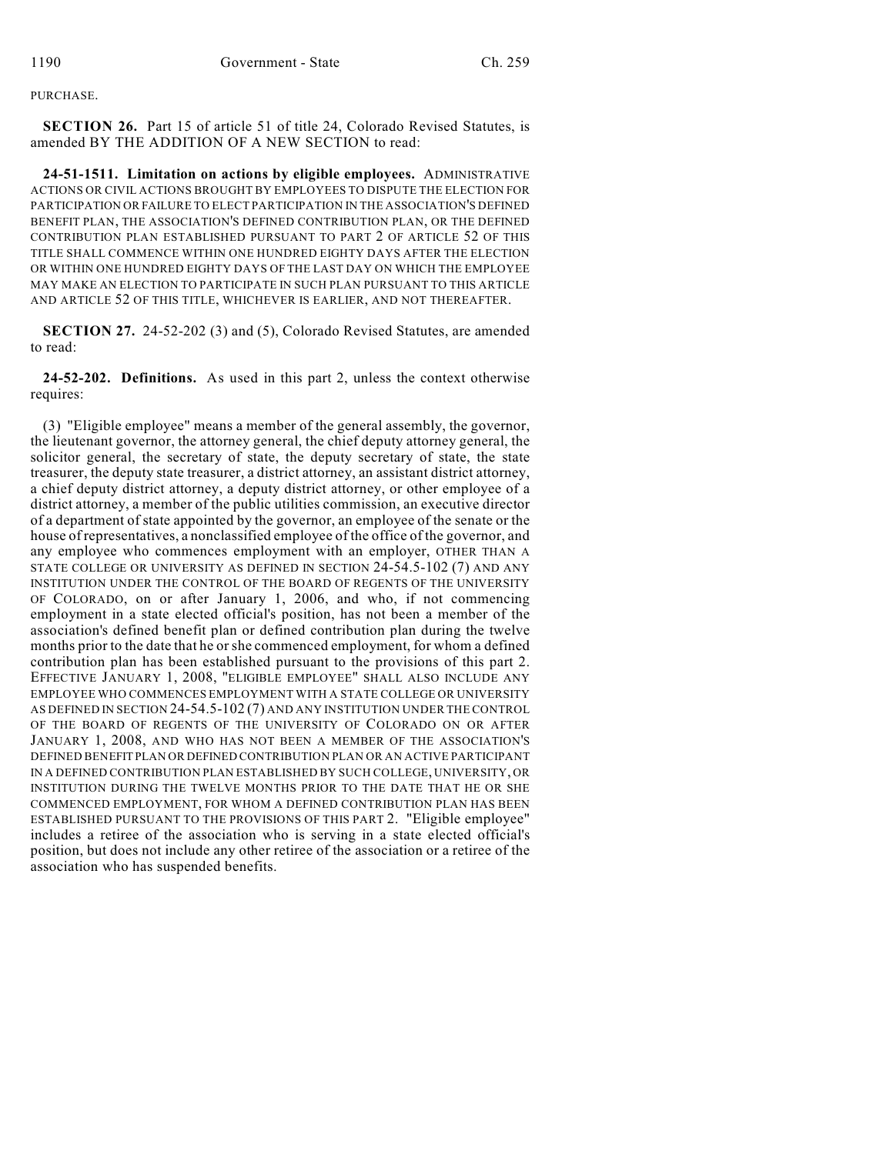PURCHASE.

**SECTION 26.** Part 15 of article 51 of title 24, Colorado Revised Statutes, is amended BY THE ADDITION OF A NEW SECTION to read:

**24-51-1511. Limitation on actions by eligible employees.** ADMINISTRATIVE ACTIONS OR CIVIL ACTIONS BROUGHT BY EMPLOYEES TO DISPUTE THE ELECTION FOR PARTICIPATION OR FAILURE TO ELECT PARTICIPATION IN THE ASSOCIATION'S DEFINED BENEFIT PLAN, THE ASSOCIATION'S DEFINED CONTRIBUTION PLAN, OR THE DEFINED CONTRIBUTION PLAN ESTABLISHED PURSUANT TO PART 2 OF ARTICLE 52 OF THIS TITLE SHALL COMMENCE WITHIN ONE HUNDRED EIGHTY DAYS AFTER THE ELECTION OR WITHIN ONE HUNDRED EIGHTY DAYS OF THE LAST DAY ON WHICH THE EMPLOYEE MAY MAKE AN ELECTION TO PARTICIPATE IN SUCH PLAN PURSUANT TO THIS ARTICLE AND ARTICLE 52 OF THIS TITLE, WHICHEVER IS EARLIER, AND NOT THEREAFTER.

**SECTION 27.** 24-52-202 (3) and (5), Colorado Revised Statutes, are amended to read:

**24-52-202. Definitions.** As used in this part 2, unless the context otherwise requires:

(3) "Eligible employee" means a member of the general assembly, the governor, the lieutenant governor, the attorney general, the chief deputy attorney general, the solicitor general, the secretary of state, the deputy secretary of state, the state treasurer, the deputy state treasurer, a district attorney, an assistant district attorney, a chief deputy district attorney, a deputy district attorney, or other employee of a district attorney, a member of the public utilities commission, an executive director of a department of state appointed by the governor, an employee of the senate or the house of representatives, a nonclassified employee of the office of the governor, and any employee who commences employment with an employer, OTHER THAN A STATE COLLEGE OR UNIVERSITY AS DEFINED IN SECTION 24-54.5-102 (7) AND ANY INSTITUTION UNDER THE CONTROL OF THE BOARD OF REGENTS OF THE UNIVERSITY OF COLORADO, on or after January 1, 2006, and who, if not commencing employment in a state elected official's position, has not been a member of the association's defined benefit plan or defined contribution plan during the twelve months prior to the date that he orshe commenced employment, for whom a defined contribution plan has been established pursuant to the provisions of this part 2. EFFECTIVE JANUARY 1, 2008, "ELIGIBLE EMPLOYEE" SHALL ALSO INCLUDE ANY EMPLOYEE WHO COMMENCES EMPLOYMENT WITH A STATE COLLEGE OR UNIVERSITY AS DEFINED IN SECTION 24-54.5-102 (7) AND ANY INSTITUTION UNDER THE CONTROL OF THE BOARD OF REGENTS OF THE UNIVERSITY OF COLORADO ON OR AFTER JANUARY 1, 2008, AND WHO HAS NOT BEEN A MEMBER OF THE ASSOCIATION'S DEFINED BENEFIT PLAN OR DEFINED CONTRIBUTION PLAN OR AN ACTIVE PARTICIPANT IN A DEFINED CONTRIBUTION PLAN ESTABLISHED BY SUCH COLLEGE, UNIVERSITY, OR INSTITUTION DURING THE TWELVE MONTHS PRIOR TO THE DATE THAT HE OR SHE COMMENCED EMPLOYMENT, FOR WHOM A DEFINED CONTRIBUTION PLAN HAS BEEN ESTABLISHED PURSUANT TO THE PROVISIONS OF THIS PART 2. "Eligible employee" includes a retiree of the association who is serving in a state elected official's position, but does not include any other retiree of the association or a retiree of the association who has suspended benefits.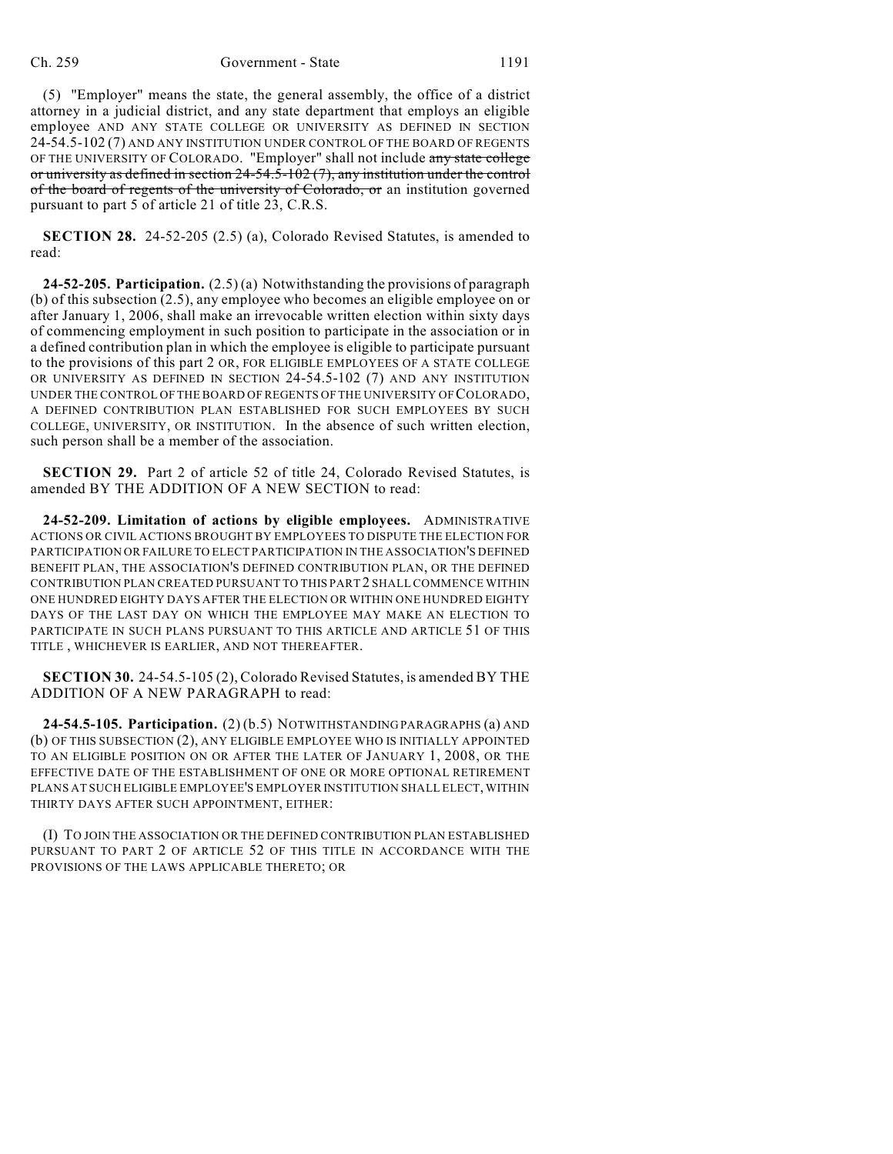(5) "Employer" means the state, the general assembly, the office of a district attorney in a judicial district, and any state department that employs an eligible employee AND ANY STATE COLLEGE OR UNIVERSITY AS DEFINED IN SECTION 24-54.5-102 (7) AND ANY INSTITUTION UNDER CONTROL OF THE BOARD OF REGENTS OF THE UNIVERSITY OF COLORADO. "Employer" shall not include any state college or university as defined in section 24-54.5-102 (7), any institution under the control of the board of regents of the university of Colorado, or an institution governed pursuant to part 5 of article 21 of title 23, C.R.S.

**SECTION 28.** 24-52-205 (2.5) (a), Colorado Revised Statutes, is amended to read:

**24-52-205. Participation.** (2.5) (a) Notwithstanding the provisions of paragraph (b) of this subsection (2.5), any employee who becomes an eligible employee on or after January 1, 2006, shall make an irrevocable written election within sixty days of commencing employment in such position to participate in the association or in a defined contribution plan in which the employee is eligible to participate pursuant to the provisions of this part 2 OR, FOR ELIGIBLE EMPLOYEES OF A STATE COLLEGE OR UNIVERSITY AS DEFINED IN SECTION 24-54.5-102 (7) AND ANY INSTITUTION UNDER THE CONTROL OF THE BOARD OF REGENTS OF THE UNIVERSITY OF COLORADO, A DEFINED CONTRIBUTION PLAN ESTABLISHED FOR SUCH EMPLOYEES BY SUCH COLLEGE, UNIVERSITY, OR INSTITUTION. In the absence of such written election, such person shall be a member of the association.

**SECTION 29.** Part 2 of article 52 of title 24, Colorado Revised Statutes, is amended BY THE ADDITION OF A NEW SECTION to read:

**24-52-209. Limitation of actions by eligible employees.** ADMINISTRATIVE ACTIONS OR CIVIL ACTIONS BROUGHT BY EMPLOYEES TO DISPUTE THE ELECTION FOR PARTICIPATION OR FAILURE TO ELECT PARTICIPATION IN THE ASSOCIATION'S DEFINED BENEFIT PLAN, THE ASSOCIATION'S DEFINED CONTRIBUTION PLAN, OR THE DEFINED CONTRIBUTION PLAN CREATED PURSUANT TO THIS PART 2 SHALL COMMENCE WITHIN ONE HUNDRED EIGHTY DAYS AFTER THE ELECTION OR WITHIN ONE HUNDRED EIGHTY DAYS OF THE LAST DAY ON WHICH THE EMPLOYEE MAY MAKE AN ELECTION TO PARTICIPATE IN SUCH PLANS PURSUANT TO THIS ARTICLE AND ARTICLE 51 OF THIS TITLE , WHICHEVER IS EARLIER, AND NOT THEREAFTER.

**SECTION 30.** 24-54.5-105 (2), Colorado Revised Statutes, is amended BY THE ADDITION OF A NEW PARAGRAPH to read:

**24-54.5-105. Participation.** (2) (b.5) NOTWITHSTANDING PARAGRAPHS (a) AND (b) OF THIS SUBSECTION (2), ANY ELIGIBLE EMPLOYEE WHO IS INITIALLY APPOINTED TO AN ELIGIBLE POSITION ON OR AFTER THE LATER OF JANUARY 1, 2008, OR THE EFFECTIVE DATE OF THE ESTABLISHMENT OF ONE OR MORE OPTIONAL RETIREMENT PLANS AT SUCH ELIGIBLE EMPLOYEE'S EMPLOYER INSTITUTION SHALL ELECT, WITHIN THIRTY DAYS AFTER SUCH APPOINTMENT, EITHER:

(I) TO JOIN THE ASSOCIATION OR THE DEFINED CONTRIBUTION PLAN ESTABLISHED PURSUANT TO PART 2 OF ARTICLE 52 OF THIS TITLE IN ACCORDANCE WITH THE PROVISIONS OF THE LAWS APPLICABLE THERETO; OR